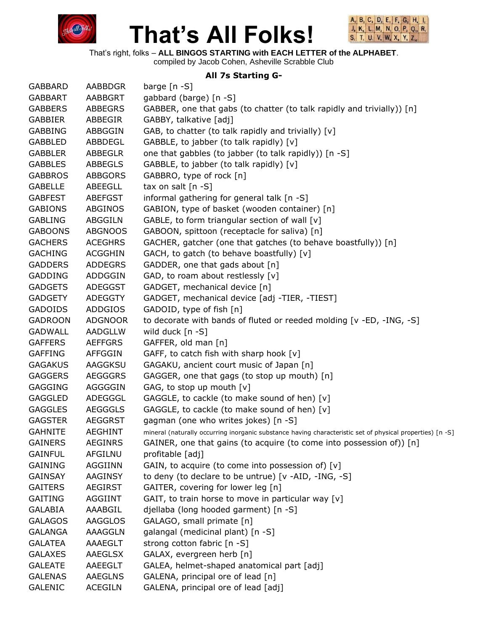



That's right, folks – **ALL BINGOS STARTING with EACH LETTER of the ALPHABET**.

compiled by Jacob Cohen, Asheville Scrabble Club

#### **All 7s Starting G-**

| <b>GABBARD</b> | AABBDGR        | barge $[n - S]$                                                                                           |
|----------------|----------------|-----------------------------------------------------------------------------------------------------------|
| <b>GABBART</b> | <b>AABBGRT</b> | gabbard (barge) [n -S]                                                                                    |
| <b>GABBERS</b> | <b>ABBEGRS</b> | GABBER, one that gabs (to chatter (to talk rapidly and trivially)) [n]                                    |
| <b>GABBIER</b> | ABBEGIR        | GABBY, talkative [adj]                                                                                    |
| <b>GABBING</b> | ABBGGIN        | GAB, to chatter (to talk rapidly and trivially) [v]                                                       |
| <b>GABBLED</b> | ABBDEGL        | GABBLE, to jabber (to talk rapidly) [v]                                                                   |
| <b>GABBLER</b> | <b>ABBEGLR</b> | one that gabbles (to jabber (to talk rapidly)) [n -S]                                                     |
| <b>GABBLES</b> | <b>ABBEGLS</b> | GABBLE, to jabber (to talk rapidly) [v]                                                                   |
| <b>GABBROS</b> | <b>ABBGORS</b> | GABBRO, type of rock [n]                                                                                  |
| <b>GABELLE</b> | ABEEGLL        | tax on salt $[n -S]$                                                                                      |
| <b>GABFEST</b> | <b>ABEFGST</b> | informal gathering for general talk [n -S]                                                                |
| <b>GABIONS</b> | <b>ABGINOS</b> | GABION, type of basket (wooden container) [n]                                                             |
| <b>GABLING</b> | <b>ABGGILN</b> | GABLE, to form triangular section of wall [v]                                                             |
| <b>GABOONS</b> | <b>ABGNOOS</b> | GABOON, spittoon (receptacle for saliva) [n]                                                              |
| <b>GACHERS</b> | <b>ACEGHRS</b> | GACHER, gatcher (one that gatches (to behave boastfully)) [n]                                             |
| <b>GACHING</b> | <b>ACGGHIN</b> | GACH, to gatch (to behave boastfully) [v]                                                                 |
| <b>GADDERS</b> | <b>ADDEGRS</b> | GADDER, one that gads about [n]                                                                           |
| <b>GADDING</b> | ADDGGIN        | GAD, to roam about restlessly [v]                                                                         |
| <b>GADGETS</b> | <b>ADEGGST</b> | GADGET, mechanical device [n]                                                                             |
| <b>GADGETY</b> | <b>ADEGGTY</b> | GADGET, mechanical device [adj -TIER, -TIEST]                                                             |
| <b>GADOIDS</b> | <b>ADDGIOS</b> | GADOID, type of fish [n]                                                                                  |
| <b>GADROON</b> | <b>ADGNOOR</b> | to decorate with bands of fluted or reeded molding [v -ED, -ING, -S]                                      |
| <b>GADWALL</b> | AADGLLW        | wild duck $[n -S]$                                                                                        |
| <b>GAFFERS</b> | <b>AEFFGRS</b> | GAFFER, old man [n]                                                                                       |
| <b>GAFFING</b> | <b>AFFGGIN</b> | GAFF, to catch fish with sharp hook [v]                                                                   |
| <b>GAGAKUS</b> | AAGGKSU        | GAGAKU, ancient court music of Japan [n]                                                                  |
| <b>GAGGERS</b> | <b>AEGGGRS</b> | GAGGER, one that gags (to stop up mouth) [n]                                                              |
| <b>GAGGING</b> | <b>AGGGGIN</b> | GAG, to stop up mouth [v]                                                                                 |
| <b>GAGGLED</b> | ADEGGGL        | GAGGLE, to cackle (to make sound of hen) [v]                                                              |
| <b>GAGGLES</b> | <b>AEGGGLS</b> | GAGGLE, to cackle (to make sound of hen) [v]                                                              |
| <b>GAGSTER</b> | <b>AEGGRST</b> | gagman (one who writes jokes) [n -S]                                                                      |
| <b>GAHNITE</b> | <b>AEGHINT</b> | mineral (naturally occurring inorganic substance having characteristic set of physical properties) [n -S] |
| <b>GAINERS</b> | <b>AEGINRS</b> | GAINER, one that gains (to acquire (to come into possession of)) [n]                                      |
| <b>GAINFUL</b> | <b>AFGILNU</b> | profitable [adj]                                                                                          |
| <b>GAINING</b> | AGGIINN        | GAIN, to acquire (to come into possession of) [v]                                                         |
| <b>GAINSAY</b> | AAGINSY        | to deny (to declare to be untrue) [v -AID, -ING, -S]                                                      |
| <b>GAITERS</b> | <b>AEGIRST</b> | GAITER, covering for lower leg [n]                                                                        |
| <b>GAITING</b> | AGGIINT        | GAIT, to train horse to move in particular way [v]                                                        |
| <b>GALABIA</b> | AAABGIL        | djellaba (long hooded garment) [n -S]                                                                     |
| <b>GALAGOS</b> | <b>AAGGLOS</b> | GALAGO, small primate [n]                                                                                 |
| <b>GALANGA</b> | AAAGGLN        | galangal (medicinal plant) [n -S]                                                                         |
| <b>GALATEA</b> | AAAEGLT        | strong cotton fabric [n -S]                                                                               |
| <b>GALAXES</b> | <b>AAEGLSX</b> | GALAX, evergreen herb [n]                                                                                 |
| <b>GALEATE</b> | AAEEGLT        | GALEA, helmet-shaped anatomical part [adj]                                                                |
| <b>GALENAS</b> | <b>AAEGLNS</b> | GALENA, principal ore of lead [n]                                                                         |
| <b>GALENIC</b> | <b>ACEGILN</b> | GALENA, principal ore of lead [adj]                                                                       |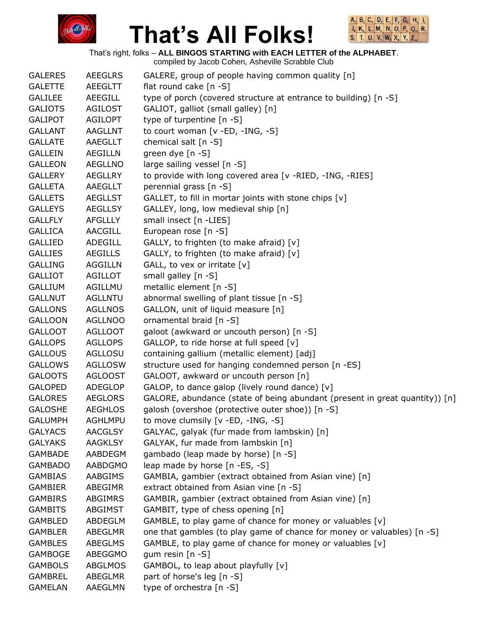



That's right, folks – **ALL BINGOS STARTING with EACH LETTER of the ALPHABET**.

| <b>GALERES</b> | <b>AEEGLRS</b> | GALERE, group of people having common quality [n]                           |
|----------------|----------------|-----------------------------------------------------------------------------|
| <b>GALETTE</b> | <b>AEEGLTT</b> | flat round cake [n -S]                                                      |
| <b>GALILEE</b> | <b>AEEGILL</b> | type of porch (covered structure at entrance to building) [n -S]            |
| <b>GALIOTS</b> | <b>AGILOST</b> | GALIOT, galliot (small galley) [n]                                          |
| <b>GALIPOT</b> | <b>AGILOPT</b> | type of turpentine [n -S]                                                   |
| <b>GALLANT</b> | <b>AAGLLNT</b> | to court woman [v -ED, -ING, -S]                                            |
| <b>GALLATE</b> | AAEGLLT        | chemical salt [n -S]                                                        |
| <b>GALLEIN</b> | <b>AEGILLN</b> | green dye [n -S]                                                            |
| <b>GALLEON</b> | <b>AEGLLNO</b> | large sailing vessel [n -S]                                                 |
| <b>GALLERY</b> | <b>AEGLLRY</b> | to provide with long covered area [v -RIED, -ING, -RIES]                    |
| <b>GALLETA</b> | AAEGLLT        | perennial grass [n -S]                                                      |
| <b>GALLETS</b> | <b>AEGLLST</b> | GALLET, to fill in mortar joints with stone chips [v]                       |
| <b>GALLEYS</b> | <b>AEGLLSY</b> | GALLEY, long, low medieval ship [n]                                         |
| <b>GALLFLY</b> | <b>AFGLLLY</b> | small insect [n -LIES]                                                      |
| <b>GALLICA</b> | AACGILL        | European rose [n -S]                                                        |
| <b>GALLIED</b> | ADEGILL        | GALLY, to frighten (to make afraid) [v]                                     |
| <b>GALLIES</b> | AEGILLS        | GALLY, to frighten (to make afraid) [v]                                     |
| <b>GALLING</b> | <b>AGGILLN</b> | GALL, to vex or irritate [v]                                                |
| <b>GALLIOT</b> | <b>AGILLOT</b> | small galley [n -S]                                                         |
| <b>GALLIUM</b> | AGILLMU        | metallic element [n -S]                                                     |
| <b>GALLNUT</b> | <b>AGLLNTU</b> | abnormal swelling of plant tissue [n -S]                                    |
| <b>GALLONS</b> | <b>AGLLNOS</b> | GALLON, unit of liquid measure [n]                                          |
| <b>GALLOON</b> | <b>AGLLNOO</b> | ornamental braid [n -S]                                                     |
| <b>GALLOOT</b> | <b>AGLLOOT</b> | galoot (awkward or uncouth person) [n -S]                                   |
| <b>GALLOPS</b> | <b>AGLLOPS</b> | GALLOP, to ride horse at full speed [v]                                     |
| <b>GALLOUS</b> | AGLLOSU        | containing gallium (metallic element) [adj]                                 |
| <b>GALLOWS</b> | <b>AGLLOSW</b> | structure used for hanging condemned person [n -ES]                         |
| <b>GALOOTS</b> | <b>AGLOOST</b> | GALOOT, awkward or uncouth person [n]                                       |
| <b>GALOPED</b> | <b>ADEGLOP</b> | GALOP, to dance galop (lively round dance) [v]                              |
| <b>GALORES</b> | <b>AEGLORS</b> | GALORE, abundance (state of being abundant (present in great quantity)) [n] |
| <b>GALOSHE</b> | <b>AEGHLOS</b> | galosh (overshoe (protective outer shoe)) [n -S]                            |
| <b>GALUMPH</b> | <b>AGHLMPU</b> | to move clumsily [v -ED, -ING, -S]                                          |
| <b>GALYACS</b> | <b>AACGLSY</b> | GALYAC, galyak (fur made from lambskin) [n]                                 |
| <b>GALYAKS</b> | <b>AAGKLSY</b> | GALYAK, fur made from lambskin [n]                                          |
| <b>GAMBADE</b> | AABDEGM        | gambado (leap made by horse) [n -S]                                         |
| <b>GAMBADO</b> | <b>AABDGMO</b> | leap made by horse [n -ES, -S]                                              |
| <b>GAMBIAS</b> | AABGIMS        | GAMBIA, gambier (extract obtained from Asian vine) [n]                      |
| <b>GAMBIER</b> | ABEGIMR        | extract obtained from Asian vine [n -S]                                     |
| <b>GAMBIRS</b> | <b>ABGIMRS</b> | GAMBIR, gambier (extract obtained from Asian vine) [n]                      |
| <b>GAMBITS</b> | ABGIMST        | GAMBIT, type of chess opening [n]                                           |
| <b>GAMBLED</b> | ABDEGLM        | GAMBLE, to play game of chance for money or valuables [v]                   |
| <b>GAMBLER</b> | <b>ABEGLMR</b> | one that gambles (to play game of chance for money or valuables) [n -S]     |
| <b>GAMBLES</b> | <b>ABEGLMS</b> | GAMBLE, to play game of chance for money or valuables [v]                   |
| <b>GAMBOGE</b> | ABEGGMO        | gum resin [n -S]                                                            |
| <b>GAMBOLS</b> | <b>ABGLMOS</b> | GAMBOL, to leap about playfully [v]                                         |
| <b>GAMBREL</b> | <b>ABEGLMR</b> | part of horse's leg [n -S]                                                  |
| <b>GAMELAN</b> | AAEGLMN        | type of orchestra [n -S]                                                    |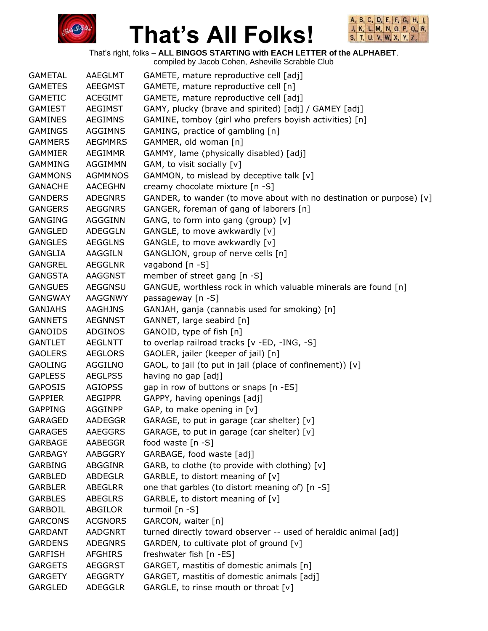



That's right, folks – **ALL BINGOS STARTING with EACH LETTER of the ALPHABET**.

compiled by Jacob Cohen, Asheville Scrabble Club GAMETAL AAEGLMT GAMETE, mature reproductive cell [adj] GAMETES AEEGMST GAMETE, mature reproductive cell [n] GAMETIC ACEGIMT GAMETE, mature reproductive cell [adj] GAMIEST AEGIMST GAMY, plucky (brave and spirited) [adj] / GAMEY [adj] GAMINES AEGIMNS GAMINE, tomboy (girl who prefers boyish activities) [n] GAMINGS AGGIMNS GAMING, practice of gambling [n] GAMMERS AEGMMRS GAMMER, old woman [n] GAMMIER AEGIMMR GAMMY, lame (physically disabled) [adj] GAMMING AGGIMMN GAM, to visit socially [v] GAMMONS AGMMNOS GAMMON, to mislead by deceptive talk [v] GANACHE AACEGHN creamy chocolate mixture [n -S] GANDERS ADEGNRS GANDER, to wander (to move about with no destination or purpose) [v] GANGERS AEGGNRS GANGER, foreman of gang of laborers [n] GANGING AGGGINN GANG, to form into gang (group) [v] GANGLED ADEGGLN GANGLE, to move awkwardly [v] GANGLES AEGGLNS GANGLE, to move awkwardly [v] GANGLIA AAGGILN GANGLION, group of nerve cells [n] GANGREL AEGGLNR vagabond [n -S] GANGSTA AAGGNST member of street gang [n -S] GANGUES AEGGNSU GANGUE, worthless rock in which valuable minerals are found [n] GANGWAY AAGGNWY passageway [n -S] GANJAHS AAGHJNS GANJAH, ganja (cannabis used for smoking) [n] GANNETS AEGNNST GANNET, large seabird [n] GANOIDS ADGINOS GANOID, type of fish [n] GANTLET AEGLNTT to overlap railroad tracks [v -ED, -ING, -S] GAOLERS AEGLORS GAOLER, jailer (keeper of jail) [n] GAOLING AGGILNO GAOL, to jail (to put in jail (place of confinement))  $[v]$ GAPLESS AEGLPSS having no gap [adj] GAPOSIS AGIOPSS gap in row of buttons or snaps [n -ES] GAPPIER AEGIPPR GAPPY, having openings [adj] GAPPING AGGINPP GAP, to make opening in [v] GARAGED AADEGGR GARAGE, to put in garage (car shelter) [v] GARAGES AAEGGRS GARAGE, to put in garage (car shelter) [v] GARBAGE AABEGGR food waste [n -S] GARBAGY AABGGRY GARBAGE, food waste [adj] GARBING ABGGINR GARB, to clothe (to provide with clothing) [v] GARBLED ABDEGLR GARBLE, to distort meaning of [v] GARBLER ABEGLRR one that garbles (to distort meaning of) [n -S] GARBLES ABEGLRS GARBLE, to distort meaning of [v] GARBOIL ABGILOR turmoil [n -S] GARCONS ACGNORS GARCON, waiter [n] GARDANT AADGNRT turned directly toward observer -- used of heraldic animal [adj] GARDENS ADEGNRS GARDEN, to cultivate plot of ground [v] GARFISH AFGHIRS freshwater fish [n -ES] GARGETS AEGGRST GARGET, mastitis of domestic animals [n] GARGETY AEGGRTY GARGET, mastitis of domestic animals [adj] GARGLED ADEGGLR GARGLE, to rinse mouth or throat [v]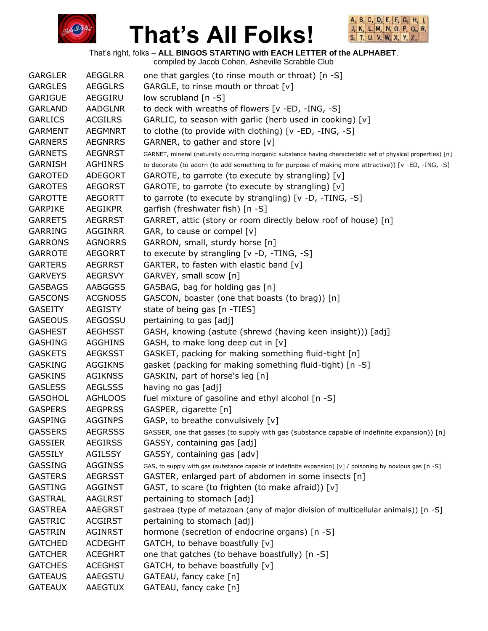



That's right, folks – **ALL BINGOS STARTING with EACH LETTER of the ALPHABET**.

| <b>GARGLER</b> | <b>AEGGLRR</b> | one that gargles (to rinse mouth or throat) [n -S]                                                             |
|----------------|----------------|----------------------------------------------------------------------------------------------------------------|
| <b>GARGLES</b> | <b>AEGGLRS</b> | GARGLE, to rinse mouth or throat [v]                                                                           |
| <b>GARIGUE</b> | AEGGIRU        | low scrubland [n -S]                                                                                           |
| <b>GARLAND</b> | <b>AADGLNR</b> | to deck with wreaths of flowers [v -ED, -ING, -S]                                                              |
| <b>GARLICS</b> | <b>ACGILRS</b> | GARLIC, to season with garlic (herb used in cooking) [v]                                                       |
| <b>GARMENT</b> | <b>AEGMNRT</b> | to clothe (to provide with clothing) [v -ED, -ING, -S]                                                         |
| <b>GARNERS</b> | <b>AEGNRRS</b> | GARNER, to gather and store [v]                                                                                |
| <b>GARNETS</b> | <b>AEGNRST</b> | GARNET, mineral (naturally occurring inorganic substance having characteristic set of physical properties) [n] |
| <b>GARNISH</b> | <b>AGHINRS</b> | to decorate (to adorn (to add something to for purpose of making more attractive)) [v -ED, -ING, -S]           |
| <b>GAROTED</b> | <b>ADEGORT</b> | GAROTE, to garrote (to execute by strangling) [v]                                                              |
| <b>GAROTES</b> | <b>AEGORST</b> | GAROTE, to garrote (to execute by strangling) [v]                                                              |
| <b>GAROTTE</b> | <b>AEGORTT</b> | to garrote (to execute by strangling) [v -D, -TING, -S]                                                        |
| <b>GARPIKE</b> | <b>AEGIKPR</b> | garfish (freshwater fish) [n -S]                                                                               |
| <b>GARRETS</b> | <b>AEGRRST</b> | GARRET, attic (story or room directly below roof of house) [n]                                                 |
| <b>GARRING</b> | <b>AGGINRR</b> | GAR, to cause or compel [v]                                                                                    |
| <b>GARRONS</b> | <b>AGNORRS</b> | GARRON, small, sturdy horse [n]                                                                                |
| <b>GARROTE</b> | <b>AEGORRT</b> | to execute by strangling $[v -D, -TING, -S]$                                                                   |
| <b>GARTERS</b> | <b>AEGRRST</b> | GARTER, to fasten with elastic band [v]                                                                        |
| <b>GARVEYS</b> | <b>AEGRSVY</b> | GARVEY, small scow [n]                                                                                         |
| <b>GASBAGS</b> | AABGGSS        | GASBAG, bag for holding gas [n]                                                                                |
| <b>GASCONS</b> | <b>ACGNOSS</b> | GASCON, boaster (one that boasts (to brag)) [n]                                                                |
| <b>GASEITY</b> | AEGISTY        | state of being gas [n -TIES]                                                                                   |
| <b>GASEOUS</b> | <b>AEGOSSU</b> | pertaining to gas [adj]                                                                                        |
| <b>GASHEST</b> | <b>AEGHSST</b> | GASH, knowing (astute (shrewd (having keen insight))) [adj]                                                    |
| <b>GASHING</b> | <b>AGGHINS</b> | GASH, to make long deep cut in [v]                                                                             |
| <b>GASKETS</b> | <b>AEGKSST</b> | GASKET, packing for making something fluid-tight [n]                                                           |
| <b>GASKING</b> | <b>AGGIKNS</b> | gasket (packing for making something fluid-tight) [n -S]                                                       |
| <b>GASKINS</b> | <b>AGIKNSS</b> | GASKIN, part of horse's leg [n]                                                                                |
| <b>GASLESS</b> | <b>AEGLSSS</b> | having no gas [adj]                                                                                            |
| <b>GASOHOL</b> | <b>AGHLOOS</b> | fuel mixture of gasoline and ethyl alcohol [n -S]                                                              |
| <b>GASPERS</b> | <b>AEGPRSS</b> | GASPER, cigarette [n]                                                                                          |
| <b>GASPING</b> | <b>AGGINPS</b> | GASP, to breathe convulsively [v]                                                                              |
| <b>GASSERS</b> | <b>AEGRSSS</b> | GASSER, one that gasses (to supply with gas (substance capable of indefinite expansion)) [n]                   |
| <b>GASSIER</b> | <b>AEGIRSS</b> | GASSY, containing gas [adj]                                                                                    |
| <b>GASSILY</b> | <b>AGILSSY</b> | GASSY, containing gas [adv]                                                                                    |
| <b>GASSING</b> | <b>AGGINSS</b> | GAS, to supply with gas (substance capable of indefinite expansion) [v] / poisoning by noxious gas [n -S]      |
| <b>GASTERS</b> | <b>AEGRSST</b> | GASTER, enlarged part of abdomen in some insects [n]                                                           |
| <b>GASTING</b> | <b>AGGINST</b> | GAST, to scare (to frighten (to make afraid)) [v]                                                              |
| <b>GASTRAL</b> | <b>AAGLRST</b> | pertaining to stomach [adj]                                                                                    |
| <b>GASTREA</b> | <b>AAEGRST</b> | gastraea (type of metazoan (any of major division of multicellular animals)) [n -S]                            |
| <b>GASTRIC</b> | <b>ACGIRST</b> | pertaining to stomach [adj]                                                                                    |
| <b>GASTRIN</b> | <b>AGINRST</b> | hormone (secretion of endocrine organs) [n -S]                                                                 |
| <b>GATCHED</b> | <b>ACDEGHT</b> | GATCH, to behave boastfully [v]                                                                                |
| <b>GATCHER</b> | <b>ACEGHRT</b> | one that gatches (to behave boastfully) [n -S]                                                                 |
| <b>GATCHES</b> | <b>ACEGHST</b> | GATCH, to behave boastfully [v]                                                                                |
| <b>GATEAUS</b> | AAEGSTU        | GATEAU, fancy cake [n]                                                                                         |
| <b>GATEAUX</b> | AAEGTUX        | GATEAU, fancy cake [n]                                                                                         |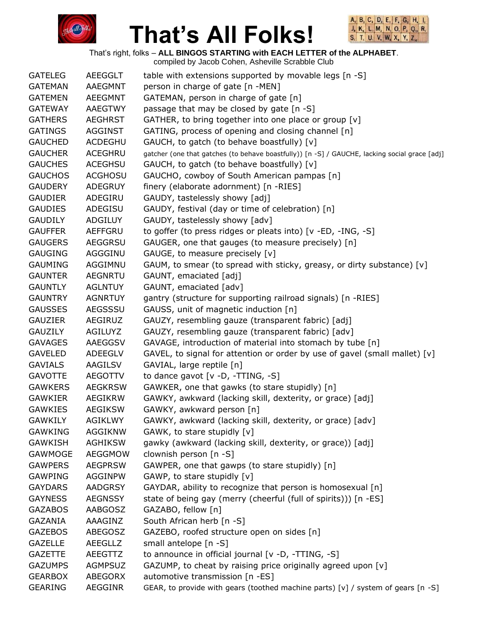



That's right, folks – **ALL BINGOS STARTING with EACH LETTER of the ALPHABET**.

| <b>GATELEG</b> | AEEGGLT        | table with extensions supported by movable legs [n -S]                                        |
|----------------|----------------|-----------------------------------------------------------------------------------------------|
| <b>GATEMAN</b> | AAEGMNT        | person in charge of gate [n -MEN]                                                             |
| <b>GATEMEN</b> | <b>AEEGMNT</b> | GATEMAN, person in charge of gate [n]                                                         |
| <b>GATEWAY</b> | <b>AAEGTWY</b> | passage that may be closed by gate [n -S]                                                     |
| <b>GATHERS</b> | <b>AEGHRST</b> | GATHER, to bring together into one place or group [v]                                         |
| <b>GATINGS</b> | <b>AGGINST</b> | GATING, process of opening and closing channel [n]                                            |
| <b>GAUCHED</b> | <b>ACDEGHU</b> | GAUCH, to gatch (to behave boastfully) [v]                                                    |
| <b>GAUCHER</b> | <b>ACEGHRU</b> | gatcher (one that gatches (to behave boastfully)) [n -S] / GAUCHE, lacking social grace [adj] |
| <b>GAUCHES</b> | <b>ACEGHSU</b> | GAUCH, to gatch (to behave boastfully) [v]                                                    |
| <b>GAUCHOS</b> | <b>ACGHOSU</b> | GAUCHO, cowboy of South American pampas [n]                                                   |
| <b>GAUDERY</b> | <b>ADEGRUY</b> | finery (elaborate adornment) [n -RIES]                                                        |
| <b>GAUDIER</b> | ADEGIRU        | GAUDY, tastelessly showy [adj]                                                                |
| <b>GAUDIES</b> | ADEGISU        | GAUDY, festival (day or time of celebration) [n]                                              |
| <b>GAUDILY</b> | ADGILUY        | GAUDY, tastelessly showy [adv]                                                                |
| <b>GAUFFER</b> | <b>AEFFGRU</b> | to goffer (to press ridges or pleats into) [v -ED, -ING, -S]                                  |
| <b>GAUGERS</b> | <b>AEGGRSU</b> | GAUGER, one that gauges (to measure precisely) [n]                                            |
| <b>GAUGING</b> | AGGGINU        | GAUGE, to measure precisely [v]                                                               |
| <b>GAUMING</b> | AGGIMNU        | GAUM, to smear (to spread with sticky, greasy, or dirty substance) [v]                        |
| <b>GAUNTER</b> | <b>AEGNRTU</b> | GAUNT, emaciated [adj]                                                                        |
| <b>GAUNTLY</b> | <b>AGLNTUY</b> | GAUNT, emaciated [adv]                                                                        |
| <b>GAUNTRY</b> | <b>AGNRTUY</b> | gantry (structure for supporting railroad signals) [n -RIES]                                  |
| <b>GAUSSES</b> | AEGSSSU        | GAUSS, unit of magnetic induction [n]                                                         |
| <b>GAUZIER</b> | AEGIRUZ        | GAUZY, resembling gauze (transparent fabric) [adj]                                            |
| <b>GAUZILY</b> | <b>AGILUYZ</b> | GAUZY, resembling gauze (transparent fabric) [adv]                                            |
| <b>GAVAGES</b> | AAEGGSV        | GAVAGE, introduction of material into stomach by tube [n]                                     |
| <b>GAVELED</b> | ADEEGLV        | GAVEL, to signal for attention or order by use of gavel (small mallet) [v]                    |
| <b>GAVIALS</b> | AAGILSV        | GAVIAL, large reptile [n]                                                                     |
| <b>GAVOTTE</b> | <b>AEGOTTV</b> | to dance gavot [v -D, -TTING, -S]                                                             |
| <b>GAWKERS</b> | <b>AEGKRSW</b> | GAWKER, one that gawks (to stare stupidly) [n]                                                |
| <b>GAWKIER</b> | AEGIKRW        | GAWKY, awkward (lacking skill, dexterity, or grace) [adj]                                     |
| <b>GAWKIES</b> | <b>AEGIKSW</b> | GAWKY, awkward person [n]                                                                     |
| <b>GAWKILY</b> | <b>AGIKLWY</b> | GAWKY, awkward (lacking skill, dexterity, or grace) [adv]                                     |
| <b>GAWKING</b> | <b>AGGIKNW</b> | GAWK, to stare stupidly [v]                                                                   |
| <b>GAWKISH</b> | <b>AGHIKSW</b> | gawky (awkward (lacking skill, dexterity, or grace)) [adj]                                    |
| GAWMOGE        | <b>AEGGMOW</b> | clownish person [n -S]                                                                        |
| <b>GAWPERS</b> | <b>AEGPRSW</b> | GAWPER, one that gawps (to stare stupidly) [n]                                                |
| <b>GAWPING</b> | <b>AGGINPW</b> | GAWP, to stare stupidly [v]                                                                   |
| <b>GAYDARS</b> | <b>AADGRSY</b> | GAYDAR, ability to recognize that person is homosexual [n]                                    |
| <b>GAYNESS</b> | <b>AEGNSSY</b> | state of being gay (merry (cheerful (full of spirits))) [n -ES]                               |
| <b>GAZABOS</b> | AABGOSZ        | GAZABO, fellow [n]                                                                            |
| <b>GAZANIA</b> | AAAGINZ        | South African herb [n -S]                                                                     |
| <b>GAZEBOS</b> | <b>ABEGOSZ</b> | GAZEBO, roofed structure open on sides [n]                                                    |
| <b>GAZELLE</b> | <b>AEEGLLZ</b> | small antelope [n -S]                                                                         |
| <b>GAZETTE</b> | AEEGTTZ        | to announce in official journal [v -D, -TTING, -S]                                            |
| <b>GAZUMPS</b> | <b>AGMPSUZ</b> | GAZUMP, to cheat by raising price originally agreed upon [v]                                  |
| <b>GEARBOX</b> | <b>ABEGORX</b> | automotive transmission [n -ES]                                                               |
| <b>GEARING</b> | <b>AEGGINR</b> | GEAR, to provide with gears (toothed machine parts) [v] / system of gears [n -S]              |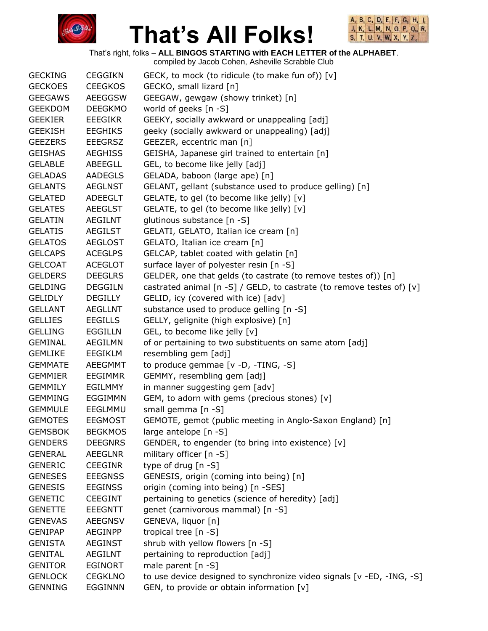



That's right, folks – **ALL BINGOS STARTING with EACH LETTER of the ALPHABET**.

| <b>GECKING</b> | <b>CEGGIKN</b> | GECK, to mock (to ridicule (to make fun of)) [v]                      |
|----------------|----------------|-----------------------------------------------------------------------|
| <b>GECKOES</b> | <b>CEEGKOS</b> | GECKO, small lizard [n]                                               |
| <b>GEEGAWS</b> | <b>AEEGGSW</b> | GEEGAW, gewgaw (showy trinket) [n]                                    |
| <b>GEEKDOM</b> | <b>DEEGKMO</b> | world of geeks [n -S]                                                 |
| <b>GEEKIER</b> | EEEGIKR        | GEEKY, socially awkward or unappealing [adj]                          |
| <b>GEEKISH</b> | <b>EEGHIKS</b> | geeky (socially awkward or unappealing) [adj]                         |
| <b>GEEZERS</b> | <b>EEEGRSZ</b> | GEEZER, eccentric man [n]                                             |
| <b>GEISHAS</b> | <b>AEGHISS</b> | GEISHA, Japanese girl trained to entertain [n]                        |
| <b>GELABLE</b> | ABEEGLL        | GEL, to become like jelly [adj]                                       |
| <b>GELADAS</b> | <b>AADEGLS</b> | GELADA, baboon (large ape) [n]                                        |
| <b>GELANTS</b> | <b>AEGLNST</b> | GELANT, gellant (substance used to produce gelling) [n]               |
| <b>GELATED</b> | ADEEGLT        | GELATE, to gel (to become like jelly) [v]                             |
| <b>GELATES</b> | <b>AEEGLST</b> | GELATE, to gel (to become like jelly) [v]                             |
| <b>GELATIN</b> | <b>AEGILNT</b> | glutinous substance [n -S]                                            |
| <b>GELATIS</b> | <b>AEGILST</b> | GELATI, GELATO, Italian ice cream [n]                                 |
| <b>GELATOS</b> | <b>AEGLOST</b> | GELATO, Italian ice cream [n]                                         |
| <b>GELCAPS</b> | <b>ACEGLPS</b> | GELCAP, tablet coated with gelatin [n]                                |
| <b>GELCOAT</b> | <b>ACEGLOT</b> | surface layer of polyester resin [n -S]                               |
| <b>GELDERS</b> | <b>DEEGLRS</b> | GELDER, one that gelds (to castrate (to remove testes of)) [n]        |
| <b>GELDING</b> | <b>DEGGILN</b> | castrated animal [n -S] / GELD, to castrate (to remove testes of) [v] |
| <b>GELIDLY</b> | <b>DEGILLY</b> | GELID, icy (covered with ice) [adv]                                   |
| <b>GELLANT</b> | <b>AEGLLNT</b> | substance used to produce gelling [n -S]                              |
| <b>GELLIES</b> | <b>EEGILLS</b> | GELLY, gelignite (high explosive) [n]                                 |
| <b>GELLING</b> | <b>EGGILLN</b> | GEL, to become like jelly [v]                                         |
| <b>GEMINAL</b> | AEGILMN        | of or pertaining to two substituents on same atom [adj]               |
| <b>GEMLIKE</b> | EEGIKLM        | resembling gem [adj]                                                  |
| <b>GEMMATE</b> | <b>AEEGMMT</b> | to produce gemmae [v -D, -TING, -S]                                   |
| <b>GEMMIER</b> | <b>EEGIMMR</b> | GEMMY, resembling gem [adj]                                           |
| <b>GEMMILY</b> | EGILMMY        | in manner suggesting gem [adv]                                        |
| <b>GEMMING</b> | EGGIMMN        | GEM, to adorn with gems (precious stones) [v]                         |
| <b>GEMMULE</b> | EEGLMMU        | small gemma [n -S]                                                    |
| <b>GEMOTES</b> | <b>EEGMOST</b> | GEMOTE, gemot (public meeting in Anglo-Saxon England) [n]             |
| <b>GEMSBOK</b> | <b>BEGKMOS</b> | large antelope [n -S]                                                 |
| <b>GENDERS</b> | <b>DEEGNRS</b> | GENDER, to engender (to bring into existence) [v]                     |
| <b>GENERAL</b> | AEEGLNR        | military officer [n -S]                                               |
| <b>GENERIC</b> | <b>CEEGINR</b> | type of drug [n -S]                                                   |
| <b>GENESES</b> | <b>EEEGNSS</b> | GENESIS, origin (coming into being) [n]                               |
| <b>GENESIS</b> | <b>EEGINSS</b> | origin (coming into being) [n -SES]                                   |
| <b>GENETIC</b> | <b>CEEGINT</b> | pertaining to genetics (science of heredity) [adj]                    |
| <b>GENETTE</b> | <b>EEEGNTT</b> | genet (carnivorous mammal) [n -S]                                     |
| <b>GENEVAS</b> | <b>AEEGNSV</b> | GENEVA, liquor [n]                                                    |
| <b>GENIPAP</b> | <b>AEGINPP</b> | tropical tree [n -S]                                                  |
| <b>GENISTA</b> | <b>AEGINST</b> | shrub with yellow flowers [n -S]                                      |
| <b>GENITAL</b> | <b>AEGILNT</b> | pertaining to reproduction [adj]                                      |
| <b>GENITOR</b> | <b>EGINORT</b> | male parent [n -S]                                                    |
| <b>GENLOCK</b> | <b>CEGKLNO</b> | to use device designed to synchronize video signals [v -ED, -ING, -S] |
| <b>GENNING</b> | EGGINNN        | GEN, to provide or obtain information [v]                             |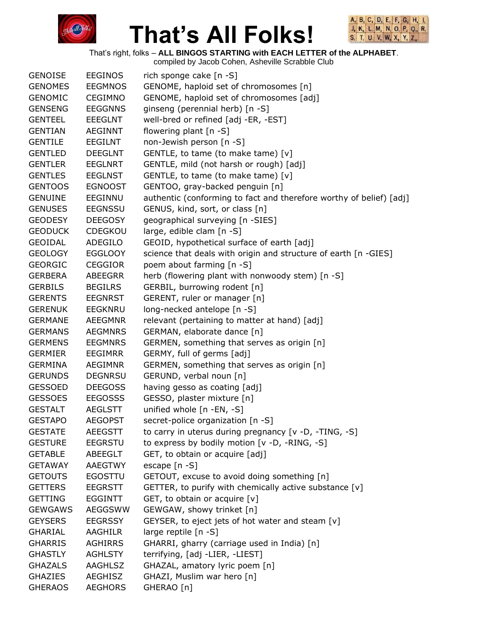



That's right, folks – **ALL BINGOS STARTING with EACH LETTER of the ALPHABET**.

| <b>GENOISE</b> | <b>EEGINOS</b> | rich sponge cake [n -S]                                             |
|----------------|----------------|---------------------------------------------------------------------|
| <b>GENOMES</b> | <b>EEGMNOS</b> | GENOME, haploid set of chromosomes [n]                              |
| <b>GENOMIC</b> | <b>CEGIMNO</b> | GENOME, haploid set of chromosomes [adj]                            |
| <b>GENSENG</b> | <b>EEGGNNS</b> | ginseng (perennial herb) [n -S]                                     |
| <b>GENTEEL</b> | <b>EEEGLNT</b> | well-bred or refined [adj -ER, -EST]                                |
| <b>GENTIAN</b> | <b>AEGINNT</b> | flowering plant [n -S]                                              |
| <b>GENTILE</b> | EEGILNT        | non-Jewish person [n -S]                                            |
| <b>GENTLED</b> | <b>DEEGLNT</b> | GENTLE, to tame (to make tame) [v]                                  |
| <b>GENTLER</b> | <b>EEGLNRT</b> | GENTLE, mild (not harsh or rough) [adj]                             |
| <b>GENTLES</b> | <b>EEGLNST</b> | GENTLE, to tame (to make tame) [v]                                  |
| <b>GENTOOS</b> | <b>EGNOOST</b> | GENTOO, gray-backed penguin [n]                                     |
| <b>GENUINE</b> | EEGINNU        | authentic (conforming to fact and therefore worthy of belief) [adj] |
| <b>GENUSES</b> | <b>EEGNSSU</b> | GENUS, kind, sort, or class [n]                                     |
| <b>GEODESY</b> | <b>DEEGOSY</b> | geographical surveying [n -SIES]                                    |
| <b>GEODUCK</b> | <b>CDEGKOU</b> | large, edible clam [n -S]                                           |
| <b>GEOIDAL</b> | ADEGILO        | GEOID, hypothetical surface of earth [adj]                          |
| <b>GEOLOGY</b> | <b>EGGLOOY</b> | science that deals with origin and structure of earth [n -GIES]     |
| <b>GEORGIC</b> | <b>CEGGIOR</b> | poem about farming [n -S]                                           |
| <b>GERBERA</b> | <b>ABEEGRR</b> | herb (flowering plant with nonwoody stem) [n -S]                    |
| <b>GERBILS</b> | <b>BEGILRS</b> | GERBIL, burrowing rodent [n]                                        |
| <b>GERENTS</b> | <b>EEGNRST</b> | GERENT, ruler or manager [n]                                        |
| <b>GERENUK</b> | <b>EEGKNRU</b> | long-necked antelope [n -S]                                         |
| <b>GERMANE</b> | <b>AEEGMNR</b> | relevant (pertaining to matter at hand) [adj]                       |
| <b>GERMANS</b> | <b>AEGMNRS</b> | GERMAN, elaborate dance [n]                                         |
| <b>GERMENS</b> | <b>EEGMNRS</b> | GERMEN, something that serves as origin [n]                         |
| <b>GERMIER</b> | <b>EEGIMRR</b> | GERMY, full of germs [adj]                                          |
| <b>GERMINA</b> | <b>AEGIMNR</b> | GERMEN, something that serves as origin [n]                         |
| <b>GERUNDS</b> | <b>DEGNRSU</b> | GERUND, verbal noun [n]                                             |
| <b>GESSOED</b> | <b>DEEGOSS</b> | having gesso as coating [adj]                                       |
| <b>GESSOES</b> | <b>EEGOSSS</b> | GESSO, plaster mixture [n]                                          |
| <b>GESTALT</b> | <b>AEGLSTT</b> | unified whole [n -EN, -S]                                           |
| <b>GESTAPO</b> | <b>AEGOPST</b> | secret-police organization [n -S]                                   |
| <b>GESTATE</b> | <b>AEEGSTT</b> | to carry in uterus during pregnancy [v -D, -TING, -S]               |
| <b>GESTURE</b> | <b>EEGRSTU</b> | to express by bodily motion [v -D, -RING, -S]                       |
| <b>GETABLE</b> | ABEEGLT        | GET, to obtain or acquire [adj]                                     |
| <b>GETAWAY</b> | <b>AAEGTWY</b> | escape [n -S]                                                       |
| <b>GETOUTS</b> | <b>EGOSTTU</b> | GETOUT, excuse to avoid doing something [n]                         |
| <b>GETTERS</b> | <b>EEGRSTT</b> | GETTER, to purify with chemically active substance [v]              |
| <b>GETTING</b> | <b>EGGINTT</b> | GET, to obtain or acquire [v]                                       |
| <b>GEWGAWS</b> | AEGGSWW        | GEWGAW, showy trinket [n]                                           |
| <b>GEYSERS</b> | <b>EEGRSSY</b> | GEYSER, to eject jets of hot water and steam [v]                    |
| <b>GHARIAL</b> | AAGHILR        | large reptile [n -S]                                                |
| <b>GHARRIS</b> | <b>AGHIRRS</b> | GHARRI, gharry (carriage used in India) [n]                         |
| <b>GHASTLY</b> | <b>AGHLSTY</b> | terrifying, [adj -LIER, -LIEST]                                     |
| <b>GHAZALS</b> | <b>AAGHLSZ</b> | GHAZAL, amatory lyric poem [n]                                      |
| <b>GHAZIES</b> | <b>AEGHISZ</b> | GHAZI, Muslim war hero [n]                                          |
| <b>GHERAOS</b> | <b>AEGHORS</b> | GHERAO [n]                                                          |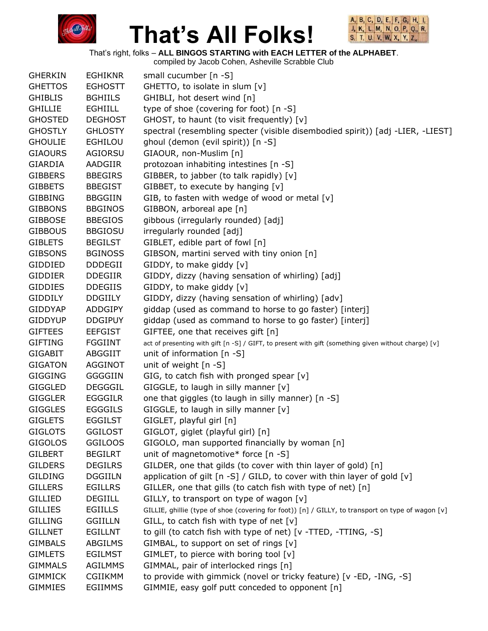



That's right, folks – **ALL BINGOS STARTING with EACH LETTER of the ALPHABET**.

| <b>GHERKIN</b> | <b>EGHIKNR</b> | small cucumber [n -S]                                                                                |
|----------------|----------------|------------------------------------------------------------------------------------------------------|
| <b>GHETTOS</b> | <b>EGHOSTT</b> | GHETTO, to isolate in slum [v]                                                                       |
| <b>GHIBLIS</b> | <b>BGHIILS</b> | GHIBLI, hot desert wind [n]                                                                          |
| <b>GHILLIE</b> | <b>EGHIILL</b> | type of shoe (covering for foot) [n -S]                                                              |
| <b>GHOSTED</b> | <b>DEGHOST</b> | GHOST, to haunt (to visit frequently) [v]                                                            |
| <b>GHOSTLY</b> | <b>GHLOSTY</b> | spectral (resembling specter (visible disembodied spirit)) [adj -LIER, -LIEST]                       |
| <b>GHOULIE</b> | <b>EGHILOU</b> | ghoul (demon (evil spirit)) [n -S]                                                                   |
| <b>GIAOURS</b> | AGIORSU        | GIAOUR, non-Muslim [n]                                                                               |
| <b>GIARDIA</b> | AADGIIR        | protozoan inhabiting intestines [n -S]                                                               |
| <b>GIBBERS</b> | <b>BBEGIRS</b> | GIBBER, to jabber (to talk rapidly) [v]                                                              |
| <b>GIBBETS</b> | <b>BBEGIST</b> | GIBBET, to execute by hanging [v]                                                                    |
| <b>GIBBING</b> | <b>BBGGIIN</b> | GIB, to fasten with wedge of wood or metal [v]                                                       |
| <b>GIBBONS</b> | <b>BBGINOS</b> | GIBBON, arboreal ape [n]                                                                             |
| <b>GIBBOSE</b> | <b>BBEGIOS</b> | gibbous (irregularly rounded) [adj]                                                                  |
| <b>GIBBOUS</b> | <b>BBGIOSU</b> | irregularly rounded [adj]                                                                            |
| <b>GIBLETS</b> | <b>BEGILST</b> | GIBLET, edible part of fowl [n]                                                                      |
| <b>GIBSONS</b> | <b>BGINOSS</b> | GIBSON, martini served with tiny onion [n]                                                           |
| GIDDIED        | <b>DDDEGII</b> | GIDDY, to make giddy [v]                                                                             |
| <b>GIDDIER</b> | <b>DDEGIIR</b> | GIDDY, dizzy (having sensation of whirling) [adj]                                                    |
| <b>GIDDIES</b> | <b>DDEGIIS</b> | GIDDY, to make giddy [v]                                                                             |
| <b>GIDDILY</b> | <b>DDGIILY</b> | GIDDY, dizzy (having sensation of whirling) [adv]                                                    |
| <b>GIDDYAP</b> | <b>ADDGIPY</b> | giddap (used as command to horse to go faster) [interj]                                              |
| <b>GIDDYUP</b> | <b>DDGIPUY</b> | giddap (used as command to horse to go faster) [interj]                                              |
| <b>GIFTEES</b> | <b>EEFGIST</b> | GIFTEE, one that receives gift [n]                                                                   |
| <b>GIFTING</b> | <b>FGGIINT</b> | act of presenting with gift [n -S] / GIFT, to present with gift (something given without charge) [v] |
| <b>GIGABIT</b> | ABGGIIT        | unit of information $[n -S]$                                                                         |
| <b>GIGATON</b> | <b>AGGINOT</b> | unit of weight $[n - S]$                                                                             |
| <b>GIGGING</b> | <b>GGGGIIN</b> | GIG, to catch fish with pronged spear [v]                                                            |
| <b>GIGGLED</b> | <b>DEGGGIL</b> | GIGGLE, to laugh in silly manner [v]                                                                 |
| <b>GIGGLER</b> | <b>EGGGILR</b> | one that giggles (to laugh in silly manner) [n -S]                                                   |
| <b>GIGGLES</b> | <b>EGGGILS</b> | GIGGLE, to laugh in silly manner [v]                                                                 |
| <b>GIGLETS</b> | <b>EGGILST</b> | GIGLET, playful girl [n]                                                                             |
| <b>GIGLOTS</b> | <b>GGILOST</b> | GIGLOT, giglet (playful girl) [n]                                                                    |
| <b>GIGOLOS</b> | <b>GGILOOS</b> | GIGOLO, man supported financially by woman [n]                                                       |
| <b>GILBERT</b> | <b>BEGILRT</b> | unit of magnetomotive* force [n -S]                                                                  |
| <b>GILDERS</b> | <b>DEGILRS</b> | GILDER, one that gilds (to cover with thin layer of gold) [n]                                        |
| <b>GILDING</b> | <b>DGGIILN</b> | application of gilt $[n -S]$ / GILD, to cover with thin layer of gold $[v]$                          |
| <b>GILLERS</b> | <b>EGILLRS</b> | GILLER, one that gills (to catch fish with type of net) [n]                                          |
| <b>GILLIED</b> | <b>DEGIILL</b> | GILLY, to transport on type of wagon [v]                                                             |
| <b>GILLIES</b> | <b>EGIILLS</b> | GILLIE, ghillie (type of shoe (covering for foot)) [n] / GILLY, to transport on type of wagon [v]    |
| <b>GILLING</b> | <b>GGIILLN</b> | GILL, to catch fish with type of net $[v]$                                                           |
| <b>GILLNET</b> | <b>EGILLNT</b> | to gill (to catch fish with type of net) [v -TTED, -TTING, -S]                                       |
| <b>GIMBALS</b> | ABGILMS        | GIMBAL, to support on set of rings [v]                                                               |
| <b>GIMLETS</b> | <b>EGILMST</b> | GIMLET, to pierce with boring tool $[v]$                                                             |
| <b>GIMMALS</b> | <b>AGILMMS</b> | GIMMAL, pair of interlocked rings [n]                                                                |
| <b>GIMMICK</b> | <b>CGIIKMM</b> | to provide with gimmick (novel or tricky feature) [v -ED, -ING, -S]                                  |
| <b>GIMMIES</b> | <b>EGIIMMS</b> | GIMMIE, easy golf putt conceded to opponent [n]                                                      |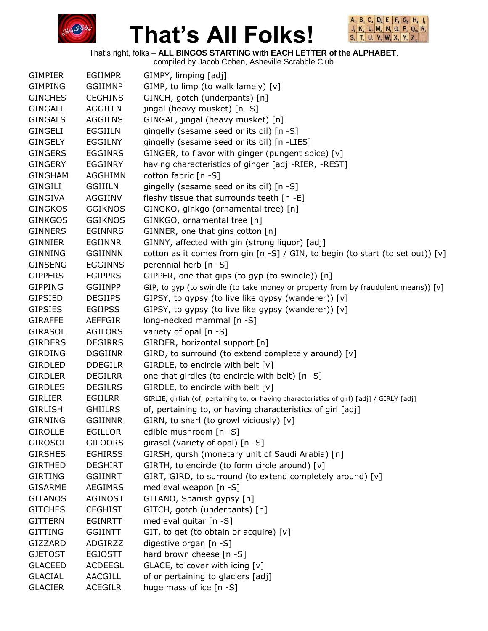



That's right, folks – **ALL BINGOS STARTING with EACH LETTER of the ALPHABET**.

| <b>GIMPIER</b> | <b>EGIIMPR</b> | GIMPY, limping [adj]                                                                       |
|----------------|----------------|--------------------------------------------------------------------------------------------|
| <b>GIMPING</b> | <b>GGIIMNP</b> | GIMP, to limp (to walk lamely) [v]                                                         |
| <b>GINCHES</b> | <b>CEGHINS</b> | GINCH, gotch (underpants) [n]                                                              |
| <b>GINGALL</b> | <b>AGGILLN</b> | jingal (heavy musket) [n -S]                                                               |
| <b>GINGALS</b> | <b>AGGILNS</b> | GINGAL, jingal (heavy musket) [n]                                                          |
| <b>GINGELI</b> | EGGIILN        | gingelly (sesame seed or its oil) [n -S]                                                   |
| <b>GINGELY</b> | <b>EGGILNY</b> | gingelly (sesame seed or its oil) [n -LIES]                                                |
| <b>GINGERS</b> | <b>EGGINRS</b> | GINGER, to flavor with ginger (pungent spice) [v]                                          |
| <b>GINGERY</b> | EGGINRY        | having characteristics of ginger [adj -RIER, -REST]                                        |
| <b>GINGHAM</b> | <b>AGGHIMN</b> | cotton fabric [n -S]                                                                       |
| <b>GINGILI</b> | <b>GGIIILN</b> | gingelly (sesame seed or its oil) [n -S]                                                   |
| <b>GINGIVA</b> | AGGIINV        | fleshy tissue that surrounds teeth [n -E]                                                  |
| <b>GINGKOS</b> | <b>GGIKNOS</b> | GINGKO, ginkgo (ornamental tree) [n]                                                       |
| <b>GINKGOS</b> | <b>GGIKNOS</b> | GINKGO, ornamental tree [n]                                                                |
| <b>GINNERS</b> | <b>EGINNRS</b> | GINNER, one that gins cotton [n]                                                           |
| <b>GINNIER</b> | <b>EGIINNR</b> | GINNY, affected with gin (strong liquor) [adj]                                             |
| <b>GINNING</b> | <b>GGIINNN</b> | cotton as it comes from gin [n -S] / GIN, to begin (to start (to set out)) [v]             |
| <b>GINSENG</b> | <b>EGGINNS</b> | perennial herb [n -S]                                                                      |
| <b>GIPPERS</b> | <b>EGIPPRS</b> | GIPPER, one that gips (to gyp (to swindle)) [n]                                            |
| <b>GIPPING</b> | <b>GGIINPP</b> | GIP, to gyp (to swindle (to take money or property from by fraudulent means)) [v]          |
| <b>GIPSIED</b> | <b>DEGIIPS</b> | GIPSY, to gypsy (to live like gypsy (wanderer)) [v]                                        |
| <b>GIPSIES</b> | <b>EGIIPSS</b> | GIPSY, to gypsy (to live like gypsy (wanderer)) [v]                                        |
| <b>GIRAFFE</b> | <b>AEFFGIR</b> | long-necked mammal [n -S]                                                                  |
| <b>GIRASOL</b> | <b>AGILORS</b> | variety of opal [n -S]                                                                     |
| <b>GIRDERS</b> | <b>DEGIRRS</b> | GIRDER, horizontal support [n]                                                             |
| <b>GIRDING</b> | <b>DGGIINR</b> | GIRD, to surround (to extend completely around) [v]                                        |
| <b>GIRDLED</b> | <b>DDEGILR</b> | GIRDLE, to encircle with belt [v]                                                          |
| <b>GIRDLER</b> | <b>DEGILRR</b> | one that girdles (to encircle with belt) [n -S]                                            |
| <b>GIRDLES</b> | <b>DEGILRS</b> | GIRDLE, to encircle with belt [v]                                                          |
| <b>GIRLIER</b> | <b>EGIILRR</b> | GIRLIE, girlish (of, pertaining to, or having characteristics of girl) [adj] / GIRLY [adj] |
| <b>GIRLISH</b> | <b>GHIILRS</b> | of, pertaining to, or having characteristics of girl [adj]                                 |
| <b>GIRNING</b> | <b>GGIINNR</b> | GIRN, to snarl (to growl viciously) [v]                                                    |
| <b>GIROLLE</b> | <b>EGILLOR</b> | edible mushroom [n -S]                                                                     |
| <b>GIROSOL</b> | <b>GILOORS</b> | girasol (variety of opal) [n -S]                                                           |
| <b>GIRSHES</b> | <b>EGHIRSS</b> | GIRSH, qursh (monetary unit of Saudi Arabia) [n]                                           |
| <b>GIRTHED</b> | <b>DEGHIRT</b> | GIRTH, to encircle (to form circle around) [v]                                             |
| <b>GIRTING</b> | <b>GGIINRT</b> | GIRT, GIRD, to surround (to extend completely around) [v]                                  |
| <b>GISARME</b> | <b>AEGIMRS</b> | medieval weapon [n -S]                                                                     |
| <b>GITANOS</b> | <b>AGINOST</b> | GITANO, Spanish gypsy [n]                                                                  |
| <b>GITCHES</b> | <b>CEGHIST</b> | GITCH, gotch (underpants) [n]                                                              |
| <b>GITTERN</b> | <b>EGINRTT</b> | medieval guitar [n -S]                                                                     |
| <b>GITTING</b> | <b>GGIINTT</b> | GIT, to get (to obtain or acquire) [v]                                                     |
| GIZZARD        | ADGIRZZ        | digestive organ [n -S]                                                                     |
| <b>GJETOST</b> | <b>EGJOSTT</b> | hard brown cheese [n -S]                                                                   |
| <b>GLACEED</b> | <b>ACDEEGL</b> | GLACE, to cover with icing [v]                                                             |
| <b>GLACIAL</b> | AACGILL        | of or pertaining to glaciers [adj]                                                         |
| <b>GLACIER</b> | <b>ACEGILR</b> | huge mass of ice [n -S]                                                                    |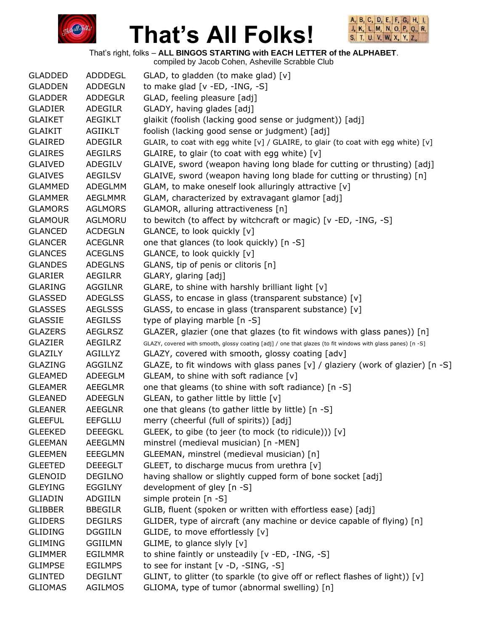



That's right, folks – **ALL BINGOS STARTING with EACH LETTER of the ALPHABET**.

| <b>GLADDED</b> | ADDDEGL        | GLAD, to gladden (to make glad) [v]                                                                         |
|----------------|----------------|-------------------------------------------------------------------------------------------------------------|
| <b>GLADDEN</b> | <b>ADDEGLN</b> | to make glad $[v - ED, -ING, -S]$                                                                           |
| <b>GLADDER</b> | <b>ADDEGLR</b> | GLAD, feeling pleasure [adj]                                                                                |
| <b>GLADIER</b> | <b>ADEGILR</b> | GLADY, having glades [adj]                                                                                  |
| <b>GLAIKET</b> | <b>AEGIKLT</b> | glaikit (foolish (lacking good sense or judgment)) [adj]                                                    |
| <b>GLAIKIT</b> | AGIIKLT        | foolish (lacking good sense or judgment) [adj]                                                              |
| <b>GLAIRED</b> | ADEGILR        | GLAIR, to coat with egg white [v] / GLAIRE, to glair (to coat with egg white) [v]                           |
| <b>GLAIRES</b> | <b>AEGILRS</b> | GLAIRE, to glair (to coat with egg white) [v]                                                               |
| <b>GLAIVED</b> | ADEGILV        | GLAIVE, sword (weapon having long blade for cutting or thrusting) [adj]                                     |
| <b>GLAIVES</b> | <b>AEGILSV</b> | GLAIVE, sword (weapon having long blade for cutting or thrusting) [n]                                       |
| <b>GLAMMED</b> | ADEGLMM        | GLAM, to make oneself look alluringly attractive [v]                                                        |
| <b>GLAMMER</b> | <b>AEGLMMR</b> | GLAM, characterized by extravagant glamor [adj]                                                             |
| <b>GLAMORS</b> | <b>AGLMORS</b> | GLAMOR, alluring attractiveness [n]                                                                         |
| <b>GLAMOUR</b> | AGLMORU        | to bewitch (to affect by witchcraft or magic) [v -ED, -ING, -S]                                             |
| <b>GLANCED</b> | <b>ACDEGLN</b> | GLANCE, to look quickly [v]                                                                                 |
| <b>GLANCER</b> | <b>ACEGLNR</b> | one that glances (to look quickly) [n -S]                                                                   |
| <b>GLANCES</b> | <b>ACEGLNS</b> | GLANCE, to look quickly [v]                                                                                 |
| <b>GLANDES</b> | <b>ADEGLNS</b> | GLANS, tip of penis or clitoris [n]                                                                         |
| <b>GLARIER</b> | <b>AEGILRR</b> | GLARY, glaring [adj]                                                                                        |
| <b>GLARING</b> | AGGILNR        | GLARE, to shine with harshly brilliant light [v]                                                            |
| <b>GLASSED</b> | <b>ADEGLSS</b> | GLASS, to encase in glass (transparent substance) [v]                                                       |
| <b>GLASSES</b> | <b>AEGLSSS</b> | GLASS, to encase in glass (transparent substance) [v]                                                       |
| <b>GLASSIE</b> | <b>AEGILSS</b> | type of playing marble [n -S]                                                                               |
| <b>GLAZERS</b> | <b>AEGLRSZ</b> | GLAZER, glazier (one that glazes (to fit windows with glass panes)) [n]                                     |
| <b>GLAZIER</b> | AEGILRZ        | GLAZY, covered with smooth, glossy coating [adj] / one that glazes (to fit windows with glass panes) [n -S] |
| GLAZILY        | AGILLYZ        | GLAZY, covered with smooth, glossy coating [adv]                                                            |
| <b>GLAZING</b> | AGGILNZ        | GLAZE, to fit windows with glass panes [v] / glaziery (work of glazier) [n -S]                              |
| <b>GLEAMED</b> | ADEEGLM        | GLEAM, to shine with soft radiance [v]                                                                      |
| <b>GLEAMER</b> | <b>AEEGLMR</b> | one that gleams (to shine with soft radiance) [n -S]                                                        |
| <b>GLEANED</b> | ADEEGLN        | GLEAN, to gather little by little [v]                                                                       |
| <b>GLEANER</b> | <b>AEEGLNR</b> | one that gleans (to gather little by little) [n -S]                                                         |
| <b>GLEEFUL</b> | <b>EEFGLLU</b> | merry (cheerful (full of spirits)) [adj]                                                                    |
| <b>GLEEKED</b> | <b>DEEEGKL</b> | GLEEK, to gibe (to jeer (to mock (to ridicule))) [v]                                                        |
| <b>GLEEMAN</b> | <b>AEEGLMN</b> | minstrel (medieval musician) [n -MEN]                                                                       |
| <b>GLEEMEN</b> | <b>EEEGLMN</b> | GLEEMAN, minstrel (medieval musician) [n]                                                                   |
| <b>GLEETED</b> | <b>DEEEGLT</b> | GLEET, to discharge mucus from urethra [v]                                                                  |
| <b>GLENOID</b> | <b>DEGILNO</b> | having shallow or slightly cupped form of bone socket [adj]                                                 |
| <b>GLEYING</b> | <b>EGGILNY</b> | development of gley [n -S]                                                                                  |
| <b>GLIADIN</b> | <b>ADGIILN</b> | simple protein [n -S]                                                                                       |
| <b>GLIBBER</b> | <b>BBEGILR</b> | GLIB, fluent (spoken or written with effortless ease) [adj]                                                 |
| <b>GLIDERS</b> | <b>DEGILRS</b> | GLIDER, type of aircraft (any machine or device capable of flying) [n]                                      |
| <b>GLIDING</b> | <b>DGGIILN</b> | GLIDE, to move effortlessly [v]                                                                             |
| <b>GLIMING</b> | <b>GGIILMN</b> | GLIME, to glance slyly [v]                                                                                  |
| <b>GLIMMER</b> | <b>EGILMMR</b> | to shine faintly or unsteadily [v -ED, -ING, -S]                                                            |
| <b>GLIMPSE</b> | <b>EGILMPS</b> | to see for instant [v -D, -SING, -S]                                                                        |
| <b>GLINTED</b> | <b>DEGILNT</b> | GLINT, to glitter (to sparkle (to give off or reflect flashes of light)) [v]                                |
| <b>GLIOMAS</b> | AGILMOS        | GLIOMA, type of tumor (abnormal swelling) [n]                                                               |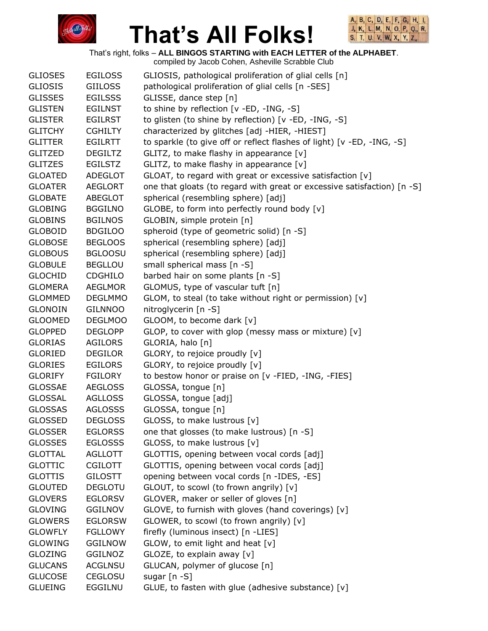



That's right, folks – **ALL BINGOS STARTING with EACH LETTER of the ALPHABET**.

| <b>GLIOSES</b> | <b>EGILOSS</b> | GLIOSIS, pathological proliferation of glial cells [n]                  |
|----------------|----------------|-------------------------------------------------------------------------|
| <b>GLIOSIS</b> | <b>GIILOSS</b> | pathological proliferation of glial cells [n -SES]                      |
| <b>GLISSES</b> | <b>EGILSSS</b> | GLISSE, dance step [n]                                                  |
| <b>GLISTEN</b> | <b>EGILNST</b> | to shine by reflection [v -ED, -ING, -S]                                |
| <b>GLISTER</b> | <b>EGILRST</b> | to glisten (to shine by reflection) [v -ED, -ING, -S]                   |
| <b>GLITCHY</b> | <b>CGHILTY</b> | characterized by glitches [adj -HIER, -HIEST]                           |
| <b>GLITTER</b> | <b>EGILRTT</b> | to sparkle (to give off or reflect flashes of light) [v -ED, -ING, -S]  |
| <b>GLITZED</b> | <b>DEGILTZ</b> | GLITZ, to make flashy in appearance [v]                                 |
| <b>GLITZES</b> | <b>EGILSTZ</b> | GLITZ, to make flashy in appearance [v]                                 |
| <b>GLOATED</b> | <b>ADEGLOT</b> | GLOAT, to regard with great or excessive satisfaction [v]               |
| <b>GLOATER</b> | <b>AEGLORT</b> | one that gloats (to regard with great or excessive satisfaction) [n -S] |
| <b>GLOBATE</b> | ABEGLOT        | spherical (resembling sphere) [adj]                                     |
| <b>GLOBING</b> | <b>BGGILNO</b> | GLOBE, to form into perfectly round body [v]                            |
| <b>GLOBINS</b> | <b>BGILNOS</b> | GLOBIN, simple protein [n]                                              |
| <b>GLOBOID</b> | <b>BDGILOO</b> | spheroid (type of geometric solid) [n -S]                               |
| <b>GLOBOSE</b> | <b>BEGLOOS</b> | spherical (resembling sphere) [adj]                                     |
| <b>GLOBOUS</b> | <b>BGLOOSU</b> | spherical (resembling sphere) [adj]                                     |
| <b>GLOBULE</b> | <b>BEGLLOU</b> | small spherical mass [n -S]                                             |
| <b>GLOCHID</b> | <b>CDGHILO</b> | barbed hair on some plants [n -S]                                       |
| <b>GLOMERA</b> | <b>AEGLMOR</b> | GLOMUS, type of vascular tuft [n]                                       |
| <b>GLOMMED</b> | <b>DEGLMMO</b> | GLOM, to steal (to take without right or permission) [v]                |
| <b>GLONOIN</b> | <b>GILNNOO</b> | nitroglycerin [n -S]                                                    |
| <b>GLOOMED</b> | <b>DEGLMOO</b> | GLOOM, to become dark [v]                                               |
| <b>GLOPPED</b> | <b>DEGLOPP</b> | GLOP, to cover with glop (messy mass or mixture) [v]                    |
| <b>GLORIAS</b> | AGILORS        | GLORIA, halo [n]                                                        |
| <b>GLORIED</b> | <b>DEGILOR</b> | GLORY, to rejoice proudly [v]                                           |
| <b>GLORIES</b> | <b>EGILORS</b> | GLORY, to rejoice proudly [v]                                           |
| <b>GLORIFY</b> | <b>FGILORY</b> | to bestow honor or praise on [v -FIED, -ING, -FIES]                     |
| <b>GLOSSAE</b> | <b>AEGLOSS</b> | GLOSSA, tongue [n]                                                      |
| <b>GLOSSAL</b> | <b>AGLLOSS</b> | GLOSSA, tongue [adj]                                                    |
| <b>GLOSSAS</b> | <b>AGLOSSS</b> | GLOSSA, tongue [n]                                                      |
| <b>GLOSSED</b> | <b>DEGLOSS</b> | GLOSS, to make lustrous [v]                                             |
| <b>GLOSSER</b> | <b>EGLORSS</b> | one that glosses (to make lustrous) [n -S]                              |
| <b>GLOSSES</b> | <b>EGLOSSS</b> | GLOSS, to make lustrous [v]                                             |
| <b>GLOTTAL</b> | <b>AGLLOTT</b> | GLOTTIS, opening between vocal cords [adj]                              |
| <b>GLOTTIC</b> | <b>CGILOTT</b> | GLOTTIS, opening between vocal cords [adj]                              |
| <b>GLOTTIS</b> | <b>GILOSTT</b> | opening between vocal cords [n -IDES, -ES]                              |
| <b>GLOUTED</b> | <b>DEGLOTU</b> | GLOUT, to scowl (to frown angrily) [v]                                  |
| <b>GLOVERS</b> | <b>EGLORSV</b> | GLOVER, maker or seller of gloves [n]                                   |
| <b>GLOVING</b> | <b>GGILNOV</b> | GLOVE, to furnish with gloves (hand coverings) [v]                      |
| <b>GLOWERS</b> | <b>EGLORSW</b> | GLOWER, to scowl (to frown angrily) [v]                                 |
| <b>GLOWFLY</b> | <b>FGLLOWY</b> | firefly (luminous insect) [n -LIES]                                     |
| <b>GLOWING</b> | <b>GGILNOW</b> | $GLOW$ , to emit light and heat $[v]$                                   |
| <b>GLOZING</b> | <b>GGILNOZ</b> | GLOZE, to explain away [v]                                              |
| <b>GLUCANS</b> | <b>ACGLNSU</b> | GLUCAN, polymer of glucose [n]                                          |
| <b>GLUCOSE</b> | <b>CEGLOSU</b> | sugar $[n - S]$                                                         |
| <b>GLUEING</b> | EGGILNU        | GLUE, to fasten with glue (adhesive substance) [v]                      |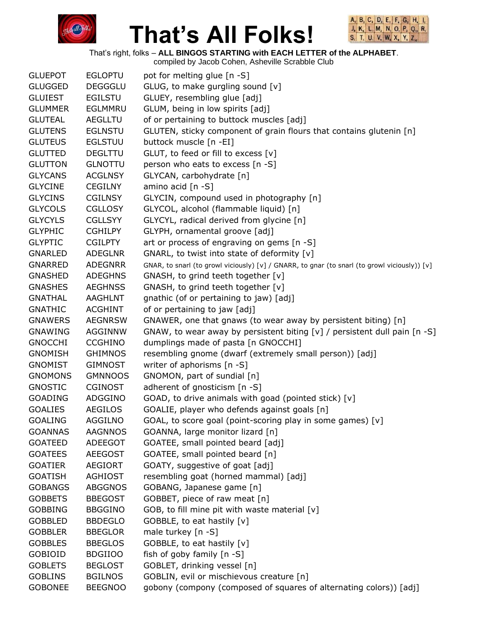



That's right, folks – **ALL BINGOS STARTING with EACH LETTER of the ALPHABET**.

| <b>GLUEPOT</b> | <b>EGLOPTU</b> | pot for melting glue [n -S]                                                                  |
|----------------|----------------|----------------------------------------------------------------------------------------------|
| <b>GLUGGED</b> | <b>DEGGGLU</b> | GLUG, to make gurgling sound [v]                                                             |
| <b>GLUIEST</b> | <b>EGILSTU</b> | GLUEY, resembling glue [adj]                                                                 |
| <b>GLUMMER</b> | EGLMMRU        | GLUM, being in low spirits [adj]                                                             |
| <b>GLUTEAL</b> | <b>AEGLLTU</b> | of or pertaining to buttock muscles [adj]                                                    |
| <b>GLUTENS</b> | <b>EGLNSTU</b> | GLUTEN, sticky component of grain flours that contains glutenin [n]                          |
| <b>GLUTEUS</b> | <b>EGLSTUU</b> | buttock muscle [n -EI]                                                                       |
| <b>GLUTTED</b> | <b>DEGLTTU</b> | GLUT, to feed or fill to excess [v]                                                          |
| <b>GLUTTON</b> | <b>GLNOTTU</b> | person who eats to excess [n -S]                                                             |
| <b>GLYCANS</b> | <b>ACGLNSY</b> | GLYCAN, carbohydrate [n]                                                                     |
| <b>GLYCINE</b> | <b>CEGILNY</b> | amino acid [n -S]                                                                            |
| <b>GLYCINS</b> | <b>CGILNSY</b> | GLYCIN, compound used in photography [n]                                                     |
| <b>GLYCOLS</b> | <b>CGLLOSY</b> | GLYCOL, alcohol (flammable liquid) [n]                                                       |
| <b>GLYCYLS</b> | <b>CGLLSYY</b> | GLYCYL, radical derived from glycine [n]                                                     |
| <b>GLYPHIC</b> | <b>CGHILPY</b> | GLYPH, ornamental groove [adj]                                                               |
| <b>GLYPTIC</b> | <b>CGILPTY</b> | art or process of engraving on gems [n -S]                                                   |
| <b>GNARLED</b> | <b>ADEGLNR</b> | GNARL, to twist into state of deformity [v]                                                  |
| <b>GNARRED</b> | <b>ADEGNRR</b> | GNAR, to snarl (to growl viciously) [v] / GNARR, to gnar (to snarl (to growl viciously)) [v] |
| <b>GNASHED</b> | <b>ADEGHNS</b> | GNASH, to grind teeth together [v]                                                           |
| <b>GNASHES</b> | <b>AEGHNSS</b> | GNASH, to grind teeth together [v]                                                           |
| <b>GNATHAL</b> | <b>AAGHLNT</b> | gnathic (of or pertaining to jaw) [adj]                                                      |
| <b>GNATHIC</b> | <b>ACGHINT</b> | of or pertaining to jaw [adj]                                                                |
| <b>GNAWERS</b> | <b>AEGNRSW</b> | GNAWER, one that gnaws (to wear away by persistent biting) [n]                               |
| <b>GNAWING</b> | AGGINNW        | GNAW, to wear away by persistent biting $[v]$ / persistent dull pain $[n - S]$               |
| <b>GNOCCHI</b> | <b>CCGHINO</b> | dumplings made of pasta [n GNOCCHI]                                                          |
| <b>GNOMISH</b> | <b>GHIMNOS</b> | resembling gnome (dwarf (extremely small person)) [adj]                                      |
| <b>GNOMIST</b> | <b>GIMNOST</b> | writer of aphorisms [n -S]                                                                   |
| <b>GNOMONS</b> | <b>GMNNOOS</b> | GNOMON, part of sundial [n]                                                                  |
| <b>GNOSTIC</b> | <b>CGINOST</b> | adherent of gnosticism [n -S]                                                                |
| <b>GOADING</b> | ADGGINO        | GOAD, to drive animals with goad (pointed stick) [v]                                         |
| <b>GOALIES</b> | <b>AEGILOS</b> | GOALIE, player who defends against goals [n]                                                 |
| <b>GOALING</b> | <b>AGGILNO</b> | GOAL, to score goal (point-scoring play in some games) [v]                                   |
| <b>GOANNAS</b> | <b>AAGNNOS</b> | GOANNA, large monitor lizard [n]                                                             |
| <b>GOATEED</b> | ADEEGOT        | GOATEE, small pointed beard [adj]                                                            |
| <b>GOATEES</b> | <b>AEEGOST</b> | GOATEE, small pointed beard [n]                                                              |
| <b>GOATIER</b> | <b>AEGIORT</b> | GOATY, suggestive of goat [adj]                                                              |
| <b>GOATISH</b> | <b>AGHIOST</b> | resembling goat (horned mammal) [adj]                                                        |
| <b>GOBANGS</b> | <b>ABGGNOS</b> | GOBANG, Japanese game [n]                                                                    |
| <b>GOBBETS</b> | <b>BBEGOST</b> | GOBBET, piece of raw meat [n]                                                                |
| <b>GOBBING</b> | <b>BBGGINO</b> | GOB, to fill mine pit with waste material [v]                                                |
| <b>GOBBLED</b> | <b>BBDEGLO</b> | GOBBLE, to eat hastily [v]                                                                   |
| <b>GOBBLER</b> | <b>BBEGLOR</b> | male turkey [n -S]                                                                           |
| <b>GOBBLES</b> | <b>BBEGLOS</b> | GOBBLE, to eat hastily [v]                                                                   |
| <b>GOBIOID</b> | <b>BDGIIOO</b> | fish of goby family [n -S]                                                                   |
| <b>GOBLETS</b> | <b>BEGLOST</b> | GOBLET, drinking vessel [n]                                                                  |
| <b>GOBLINS</b> | <b>BGILNOS</b> | GOBLIN, evil or mischievous creature [n]                                                     |
| <b>GOBONEE</b> | <b>BEEGNOO</b> | gobony (compony (composed of squares of alternating colors)) [adj]                           |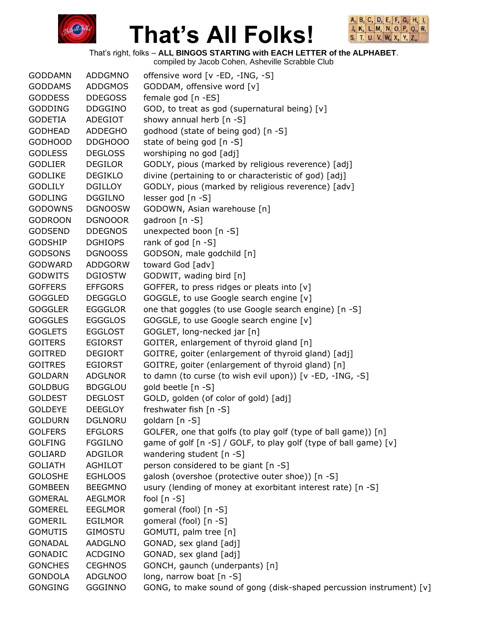



That's right, folks – **ALL BINGOS STARTING with EACH LETTER of the ALPHABET**. compiled by Jacob Cohen, Asheville Scrabble Club

|                |                | complica by sacob Conch, Ashcville Octabble Oldb                    |
|----------------|----------------|---------------------------------------------------------------------|
| <b>GODDAMN</b> | <b>ADDGMNO</b> | offensive word [v -ED, -ING, -S]                                    |
| <b>GODDAMS</b> | <b>ADDGMOS</b> | GODDAM, offensive word [v]                                          |
| <b>GODDESS</b> | <b>DDEGOSS</b> | female god [n -ES]                                                  |
| <b>GODDING</b> | <b>DDGGINO</b> | GOD, to treat as god (supernatural being) [v]                       |
| <b>GODETIA</b> | ADEGIOT        | showy annual herb [n -S]                                            |
| <b>GODHEAD</b> | <b>ADDEGHO</b> | godhood (state of being god) [n -S]                                 |
| <b>GODHOOD</b> | DDGHOOO        | state of being god [n -S]                                           |
| <b>GODLESS</b> | <b>DEGLOSS</b> | worshiping no god [adj]                                             |
| <b>GODLIER</b> | <b>DEGILOR</b> | GODLY, pious (marked by religious reverence) [adj]                  |
| <b>GODLIKE</b> | <b>DEGIKLO</b> | divine (pertaining to or characteristic of god) [adj]               |
| <b>GODLILY</b> | <b>DGILLOY</b> | GODLY, pious (marked by religious reverence) [adv]                  |
| <b>GODLING</b> | <b>DGGILNO</b> | lesser god [n -S]                                                   |
| <b>GODOWNS</b> | <b>DGNOOSW</b> | GODOWN, Asian warehouse [n]                                         |
| <b>GODROON</b> | <b>DGNOOOR</b> | gadroon [n -S]                                                      |
| <b>GODSEND</b> | <b>DDEGNOS</b> | unexpected boon [n -S]                                              |
| <b>GODSHIP</b> | <b>DGHIOPS</b> | rank of god $[n - S]$                                               |
| <b>GODSONS</b> | <b>DGNOOSS</b> | GODSON, male godchild [n]                                           |
| <b>GODWARD</b> | <b>ADDGORW</b> | toward God [adv]                                                    |
| <b>GODWITS</b> | <b>DGIOSTW</b> | GODWIT, wading bird [n]                                             |
| <b>GOFFERS</b> | <b>EFFGORS</b> | GOFFER, to press ridges or pleats into [v]                          |
| <b>GOGGLED</b> | <b>DEGGGLO</b> | GOGGLE, to use Google search engine [v]                             |
| <b>GOGGLER</b> | <b>EGGGLOR</b> | one that goggles (to use Google search engine) [n -S]               |
| <b>GOGGLES</b> | <b>EGGGLOS</b> | GOGGLE, to use Google search engine [v]                             |
| <b>GOGLETS</b> | <b>EGGLOST</b> | GOGLET, long-necked jar [n]                                         |
| <b>GOITERS</b> | <b>EGIORST</b> | GOITER, enlargement of thyroid gland [n]                            |
| <b>GOITRED</b> | <b>DEGIORT</b> | GOITRE, goiter (enlargement of thyroid gland) [adj]                 |
| <b>GOITRES</b> | <b>EGIORST</b> | GOITRE, goiter (enlargement of thyroid gland) [n]                   |
| <b>GOLDARN</b> | <b>ADGLNOR</b> | to damn (to curse (to wish evil upon)) [v -ED, -ING, -S]            |
| <b>GOLDBUG</b> | <b>BDGGLOU</b> | gold beetle [n -S]                                                  |
| <b>GOLDEST</b> | <b>DEGLOST</b> | GOLD, golden (of color of gold) [adj]                               |
| <b>GOLDEYE</b> | <b>DEEGLOY</b> | freshwater fish [n -S]                                              |
| <b>GOLDURN</b> | <b>DGLNORU</b> | goldarn [n -S]                                                      |
| <b>GOLFERS</b> | <b>EFGLORS</b> | GOLFER, one that golfs (to play golf (type of ball game)) [n]       |
| <b>GOLFING</b> | <b>FGGILNO</b> | game of golf [n -S] / GOLF, to play golf (type of ball game) [v]    |
| <b>GOLIARD</b> | <b>ADGILOR</b> | wandering student [n -S]                                            |
| <b>GOLIATH</b> | <b>AGHILOT</b> | person considered to be giant [n -S]                                |
| <b>GOLOSHE</b> | <b>EGHLOOS</b> | galosh (overshoe (protective outer shoe)) [n -S]                    |
| <b>GOMBEEN</b> | <b>BEEGMNO</b> | usury (lending of money at exorbitant interest rate) [n -S]         |
| <b>GOMERAL</b> | <b>AEGLMOR</b> | fool $[n - S]$                                                      |
| <b>GOMEREL</b> | <b>EEGLMOR</b> | gomeral (fool) [n -S]                                               |
| <b>GOMERIL</b> | <b>EGILMOR</b> | gomeral (fool) [n -S]                                               |
| <b>GOMUTIS</b> | <b>GIMOSTU</b> | GOMUTI, palm tree [n]                                               |
| <b>GONADAL</b> | AADGLNO        | GONAD, sex gland [adj]                                              |
| GONADIC        | <b>ACDGINO</b> | GONAD, sex gland [adj]                                              |
| <b>GONCHES</b> | <b>CEGHNOS</b> | GONCH, gaunch (underpants) [n]                                      |
| <b>GONDOLA</b> | <b>ADGLNOO</b> | long, narrow boat [n -S]                                            |
| <b>GONGING</b> | <b>GGGINNO</b> | GONG, to make sound of gong (disk-shaped percussion instrument) [v] |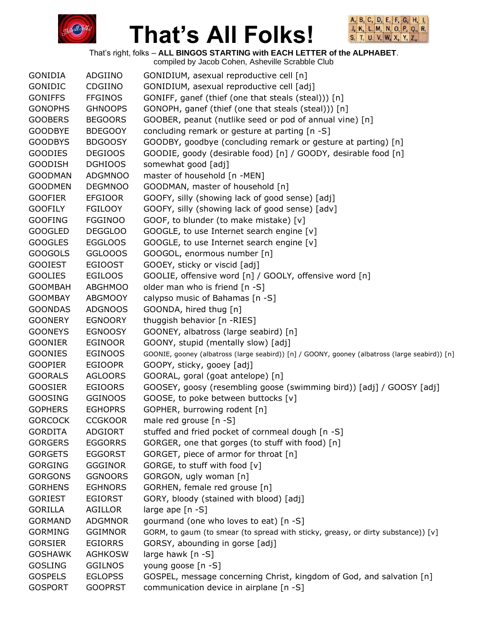



That's right, folks – **ALL BINGOS STARTING with EACH LETTER of the ALPHABET**.

|                |                | compiled by Jacob Cohen, Asheville Scrabble Club                                               |
|----------------|----------------|------------------------------------------------------------------------------------------------|
| <b>GONIDIA</b> | ADGIINO        | GONIDIUM, asexual reproductive cell [n]                                                        |
| GONIDIC        | CDGIINO        | GONIDIUM, asexual reproductive cell [adj]                                                      |
| <b>GONIFFS</b> | <b>FFGINOS</b> | GONIFF, ganef (thief (one that steals (steal))) [n]                                            |
| <b>GONOPHS</b> | <b>GHNOOPS</b> | GONOPH, ganef (thief (one that steals (steal))) [n]                                            |
| <b>GOOBERS</b> | <b>BEGOORS</b> | GOOBER, peanut (nutlike seed or pod of annual vine) [n]                                        |
| <b>GOODBYE</b> | <b>BDEGOOY</b> | concluding remark or gesture at parting [n -S]                                                 |
| <b>GOODBYS</b> | <b>BDGOOSY</b> | GOODBY, goodbye (concluding remark or gesture at parting) [n]                                  |
| <b>GOODIES</b> | <b>DEGIOOS</b> | GOODIE, goody (desirable food) [n] / GOODY, desirable food [n]                                 |
| <b>GOODISH</b> | <b>DGHIOOS</b> | somewhat good [adj]                                                                            |
| <b>GOODMAN</b> | <b>ADGMNOO</b> | master of household [n -MEN]                                                                   |
| <b>GOODMEN</b> | <b>DEGMNOO</b> | GOODMAN, master of household [n]                                                               |
| <b>GOOFIER</b> | <b>EFGIOOR</b> | GOOFY, silly (showing lack of good sense) [adj]                                                |
| <b>GOOFILY</b> | <b>FGILOOY</b> | GOOFY, silly (showing lack of good sense) [adv]                                                |
| <b>GOOFING</b> | <b>FGGINOO</b> | GOOF, to blunder (to make mistake) [v]                                                         |
| <b>GOOGLED</b> | <b>DEGGLOO</b> | GOOGLE, to use Internet search engine [v]                                                      |
| <b>GOOGLES</b> | <b>EGGLOOS</b> | GOOGLE, to use Internet search engine [v]                                                      |
| <b>GOOGOLS</b> | GGLOOOS        | GOOGOL, enormous number [n]                                                                    |
| <b>GOOIEST</b> | <b>EGIOOST</b> | GOOEY, sticky or viscid [adj]                                                                  |
| <b>GOOLIES</b> | <b>EGILOOS</b> | GOOLIE, offensive word [n] / GOOLY, offensive word [n]                                         |
| <b>GOOMBAH</b> | <b>ABGHMOO</b> | older man who is friend [n -S]                                                                 |
| <b>GOOMBAY</b> | <b>ABGMOOY</b> | calypso music of Bahamas [n -S]                                                                |
| <b>GOONDAS</b> | <b>ADGNOOS</b> | GOONDA, hired thug [n]                                                                         |
| <b>GOONERY</b> | <b>EGNOORY</b> | thuggish behavior [n -RIES]                                                                    |
| <b>GOONEYS</b> | <b>EGNOOSY</b> | GOONEY, albatross (large seabird) [n]                                                          |
| <b>GOONIER</b> | <b>EGINOOR</b> | GOONY, stupid (mentally slow) [adj]                                                            |
| <b>GOONIES</b> | <b>EGINOOS</b> |                                                                                                |
| <b>GOOPIER</b> | <b>EGIOOPR</b> | GOONIE, gooney (albatross (large seabird)) [n] / GOONY, gooney (albatross (large seabird)) [n] |
| <b>GOORALS</b> |                | GOOPY, sticky, gooey [adj]                                                                     |
|                | <b>AGLOORS</b> | GOORAL, goral (goat antelope) [n]                                                              |
| <b>GOOSIER</b> | <b>EGIOORS</b> | GOOSEY, goosy (resembling goose (swimming bird)) [adj] / GOOSY [adj]                           |
| <b>GOOSING</b> | <b>GGINOOS</b> | GOOSE, to poke between buttocks [v]                                                            |
| <b>GOPHERS</b> | <b>EGHOPRS</b> | GOPHER, burrowing rodent [n]                                                                   |
| <b>GORCOCK</b> | <b>CCGKOOR</b> | male red grouse [n -S]                                                                         |
| <b>GORDITA</b> | ADGIORT        | stuffed and fried pocket of cornmeal dough [n -S]                                              |
| <b>GORGERS</b> | <b>EGGORRS</b> | GORGER, one that gorges (to stuff with food) [n]                                               |
| <b>GORGETS</b> | <b>EGGORST</b> | GORGET, piece of armor for throat [n]                                                          |
| <b>GORGING</b> | <b>GGGINOR</b> | GORGE, to stuff with food [v]                                                                  |
| <b>GORGONS</b> | <b>GGNOORS</b> | GORGON, ugly woman [n]                                                                         |
| <b>GORHENS</b> | <b>EGHNORS</b> | GORHEN, female red grouse [n]                                                                  |
| <b>GORIEST</b> | <b>EGIORST</b> | GORY, bloody (stained with blood) [adj]                                                        |
| <b>GORILLA</b> | AGILLOR        | large ape [n -S]                                                                               |
| <b>GORMAND</b> | <b>ADGMNOR</b> | gourmand (one who loves to eat) [n -S]                                                         |
| <b>GORMING</b> | <b>GGIMNOR</b> | GORM, to gaum (to smear (to spread with sticky, greasy, or dirty substance)) [v]               |
| <b>GORSIER</b> | <b>EGIORRS</b> | GORSY, abounding in gorse [adj]                                                                |
| <b>GOSHAWK</b> | <b>AGHKOSW</b> | large hawk $[n -S]$                                                                            |
| <b>GOSLING</b> | <b>GGILNOS</b> | young goose [n -S]                                                                             |
| <b>GOSPELS</b> | <b>EGLOPSS</b> | GOSPEL, message concerning Christ, kingdom of God, and salvation [n]                           |
| <b>GOSPORT</b> | <b>GOOPRST</b> | communication device in airplane [n -S]                                                        |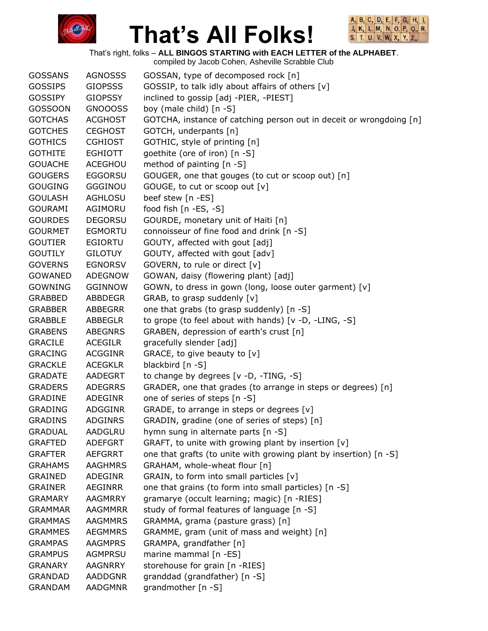



That's right, folks – **ALL BINGOS STARTING with EACH LETTER of the ALPHABET**.

| <b>GOSSANS</b> | <b>AGNOSSS</b> | GOSSAN, type of decomposed rock [n]                                 |
|----------------|----------------|---------------------------------------------------------------------|
| <b>GOSSIPS</b> | <b>GIOPSSS</b> | GOSSIP, to talk idly about affairs of others [v]                    |
| <b>GOSSIPY</b> | <b>GIOPSSY</b> | inclined to gossip [adj -PIER, -PIEST]                              |
| <b>GOSSOON</b> | GNOOOSS        | boy (male child) [n -S]                                             |
| <b>GOTCHAS</b> | <b>ACGHOST</b> | GOTCHA, instance of catching person out in deceit or wrongdoing [n] |
| <b>GOTCHES</b> | <b>CEGHOST</b> | GOTCH, underpants [n]                                               |
| <b>GOTHICS</b> | <b>CGHIOST</b> | GOTHIC, style of printing [n]                                       |
| <b>GOTHITE</b> | <b>EGHIOTT</b> | goethite (ore of iron) [n -S]                                       |
| <b>GOUACHE</b> | ACEGHOU        | method of painting [n -S]                                           |
| <b>GOUGERS</b> | <b>EGGORSU</b> | GOUGER, one that gouges (to cut or scoop out) [n]                   |
| <b>GOUGING</b> | GGGINOU        | GOUGE, to cut or scoop out [v]                                      |
| <b>GOULASH</b> | <b>AGHLOSU</b> | beef stew [n -ES]                                                   |
| <b>GOURAMI</b> | AGIMORU        | food fish [n -ES, -S]                                               |
| <b>GOURDES</b> | <b>DEGORSU</b> | GOURDE, monetary unit of Haiti [n]                                  |
| <b>GOURMET</b> | <b>EGMORTU</b> | connoisseur of fine food and drink [n -S]                           |
| <b>GOUTIER</b> | EGIORTU        | GOUTY, affected with gout [adj]                                     |
| <b>GOUTILY</b> | <b>GILOTUY</b> | GOUTY, affected with gout [adv]                                     |
| <b>GOVERNS</b> | <b>EGNORSV</b> | GOVERN, to rule or direct [v]                                       |
| <b>GOWANED</b> | <b>ADEGNOW</b> | GOWAN, daisy (flowering plant) [adj]                                |
| <b>GOWNING</b> | <b>GGINNOW</b> | GOWN, to dress in gown (long, loose outer garment) [v]              |
| <b>GRABBED</b> | <b>ABBDEGR</b> | GRAB, to grasp suddenly [v]                                         |
| <b>GRABBER</b> | ABBEGRR        | one that grabs (to grasp suddenly) [n -S]                           |
| <b>GRABBLE</b> | ABBEGLR        | to grope (to feel about with hands) [v -D, -LING, -S]               |
| <b>GRABENS</b> | <b>ABEGNRS</b> | GRABEN, depression of earth's crust [n]                             |
| <b>GRACILE</b> | <b>ACEGILR</b> | gracefully slender [adj]                                            |
| <b>GRACING</b> | <b>ACGGINR</b> | GRACE, to give beauty to [v]                                        |
| <b>GRACKLE</b> | <b>ACEGKLR</b> | blackbird [n -S]                                                    |
| <b>GRADATE</b> | AADEGRT        | to change by degrees [v -D, -TING, -S]                              |
| <b>GRADERS</b> | <b>ADEGRRS</b> | GRADER, one that grades (to arrange in steps or degrees) [n]        |
| <b>GRADINE</b> | ADEGINR        | one of series of steps [n -S]                                       |
| <b>GRADING</b> | ADGGINR        | GRADE, to arrange in steps or degrees [v]                           |
| <b>GRADINS</b> | <b>ADGINRS</b> | GRADIN, gradine (one of series of steps) [n]                        |
| <b>GRADUAL</b> | AADGLRU        | hymn sung in alternate parts [n -S]                                 |
| <b>GRAFTED</b> | <b>ADEFGRT</b> | GRAFT, to unite with growing plant by insertion [v]                 |
| <b>GRAFTER</b> | <b>AEFGRRT</b> | one that grafts (to unite with growing plant by insertion) [n -S]   |
| <b>GRAHAMS</b> | <b>AAGHMRS</b> | GRAHAM, whole-wheat flour [n]                                       |
| <b>GRAINED</b> | <b>ADEGINR</b> | GRAIN, to form into small particles [v]                             |
| <b>GRAINER</b> | <b>AEGINRR</b> | one that grains (to form into small particles) [n -S]               |
| <b>GRAMARY</b> | <b>AAGMRRY</b> | gramarye (occult learning; magic) [n -RIES]                         |
| <b>GRAMMAR</b> | <b>AAGMMRR</b> | study of formal features of language [n -S]                         |
| <b>GRAMMAS</b> | <b>AAGMMRS</b> | GRAMMA, grama (pasture grass) [n]                                   |
| <b>GRAMMES</b> | <b>AEGMMRS</b> | GRAMME, gram (unit of mass and weight) [n]                          |
| <b>GRAMPAS</b> | <b>AAGMPRS</b> | GRAMPA, grandfather [n]                                             |
| <b>GRAMPUS</b> | <b>AGMPRSU</b> | marine mammal [n -ES]                                               |
| <b>GRANARY</b> | <b>AAGNRRY</b> | storehouse for grain [n -RIES]                                      |
| <b>GRANDAD</b> | <b>AADDGNR</b> | granddad (grandfather) [n -S]                                       |
| <b>GRANDAM</b> | <b>AADGMNR</b> | grandmother [n -S]                                                  |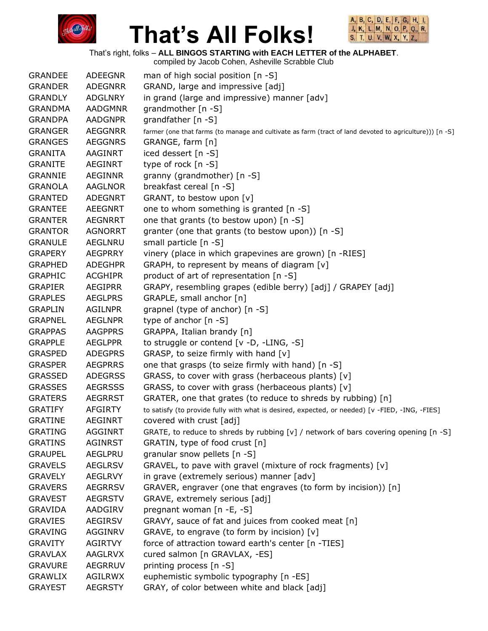



That's right, folks – **ALL BINGOS STARTING with EACH LETTER of the ALPHABET**. compiled by Jacob Cohen, Asheville Scrabble Club

|                |                | complied by Jacob Conen, Asheville Octabble Club                                                        |
|----------------|----------------|---------------------------------------------------------------------------------------------------------|
| <b>GRANDEE</b> | <b>ADEEGNR</b> | man of high social position $[n - S]$                                                                   |
| <b>GRANDER</b> | <b>ADEGNRR</b> | GRAND, large and impressive [adj]                                                                       |
| <b>GRANDLY</b> | <b>ADGLNRY</b> | in grand (large and impressive) manner [adv]                                                            |
| <b>GRANDMA</b> | <b>AADGMNR</b> | grandmother $[n - S]$                                                                                   |
| <b>GRANDPA</b> | <b>AADGNPR</b> | grandfather [n -S]                                                                                      |
| <b>GRANGER</b> | <b>AEGGNRR</b> | farmer (one that farms (to manage and cultivate as farm (tract of land devoted to agriculture))) [n -S] |
| <b>GRANGES</b> | <b>AEGGNRS</b> | GRANGE, farm [n]                                                                                        |
| <b>GRANITA</b> | AAGINRT        | iced dessert [n -S]                                                                                     |
| <b>GRANITE</b> | <b>AEGINRT</b> | type of rock [n -S]                                                                                     |
| <b>GRANNIE</b> | <b>AEGINNR</b> | granny (grandmother) [n -S]                                                                             |
| <b>GRANOLA</b> | <b>AAGLNOR</b> | breakfast cereal [n -S]                                                                                 |
| <b>GRANTED</b> | <b>ADEGNRT</b> | GRANT, to bestow upon [v]                                                                               |
| <b>GRANTEE</b> | <b>AEEGNRT</b> | one to whom something is granted $[n - S]$                                                              |
| <b>GRANTER</b> | <b>AEGNRRT</b> | one that grants (to bestow upon) [n -S]                                                                 |
| <b>GRANTOR</b> | <b>AGNORRT</b> | granter (one that grants (to bestow upon)) [n -S]                                                       |
| <b>GRANULE</b> | AEGLNRU        | small particle [n -S]                                                                                   |
| <b>GRAPERY</b> | <b>AEGPRRY</b> | vinery (place in which grapevines are grown) [n -RIES]                                                  |
| <b>GRAPHED</b> | <b>ADEGHPR</b> | GRAPH, to represent by means of diagram [v]                                                             |
| <b>GRAPHIC</b> | <b>ACGHIPR</b> | product of art of representation [n -S]                                                                 |
| <b>GRAPIER</b> | <b>AEGIPRR</b> | GRAPY, resembling grapes (edible berry) [adj] / GRAPEY [adj]                                            |
| <b>GRAPLES</b> | <b>AEGLPRS</b> | GRAPLE, small anchor [n]                                                                                |
| <b>GRAPLIN</b> | <b>AGILNPR</b> | grapnel (type of anchor) [n -S]                                                                         |
| <b>GRAPNEL</b> | <b>AEGLNPR</b> | type of anchor $[n - S]$                                                                                |
| <b>GRAPPAS</b> | <b>AAGPPRS</b> | GRAPPA, Italian brandy [n]                                                                              |
| <b>GRAPPLE</b> | <b>AEGLPPR</b> | to struggle or contend [v -D, -LING, -S]                                                                |
| <b>GRASPED</b> | <b>ADEGPRS</b> | GRASP, to seize firmly with hand [v]                                                                    |
| <b>GRASPER</b> | <b>AEGPRRS</b> | one that grasps (to seize firmly with hand) [n -S]                                                      |
| <b>GRASSED</b> | <b>ADEGRSS</b> | GRASS, to cover with grass (herbaceous plants) [v]                                                      |
| <b>GRASSES</b> | <b>AEGRSSS</b> | GRASS, to cover with grass (herbaceous plants) [v]                                                      |
| <b>GRATERS</b> | <b>AEGRRST</b> | GRATER, one that grates (to reduce to shreds by rubbing) [n]                                            |
| <b>GRATIFY</b> | <b>AFGIRTY</b> | to satisfy (to provide fully with what is desired, expected, or needed) [v -FIED, -ING, -FIES]          |
| <b>GRATINE</b> | AEGINRT        | covered with crust [adj]                                                                                |
| <b>GRATING</b> | <b>AGGINRT</b> | GRATE, to reduce to shreds by rubbing [v] / network of bars covering opening [n -S]                     |
| <b>GRATINS</b> | AGINRST        | GRATIN, type of food crust [n]                                                                          |
| <b>GRAUPEL</b> | AEGLPRU        | granular snow pellets [n -S]                                                                            |
| <b>GRAVELS</b> | <b>AEGLRSV</b> | GRAVEL, to pave with gravel (mixture of rock fragments) [v]                                             |
| <b>GRAVELY</b> | <b>AEGLRVY</b> | in grave (extremely serious) manner [adv]                                                               |
| <b>GRAVERS</b> | <b>AEGRRSV</b> | GRAVER, engraver (one that engraves (to form by incision)) [n]                                          |
| <b>GRAVEST</b> | <b>AEGRSTV</b> | GRAVE, extremely serious [adj]                                                                          |
| <b>GRAVIDA</b> | AADGIRV        | pregnant woman [n -E, -S]                                                                               |
| <b>GRAVIES</b> | AEGIRSV        | GRAVY, sauce of fat and juices from cooked meat [n]                                                     |
| <b>GRAVING</b> | <b>AGGINRV</b> | GRAVE, to engrave (to form by incision) [v]                                                             |
| <b>GRAVITY</b> | <b>AGIRTVY</b> | force of attraction toward earth's center [n -TIES]                                                     |
| <b>GRAVLAX</b> | AAGLRVX        | cured salmon [n GRAVLAX, -ES]                                                                           |
| <b>GRAVURE</b> | <b>AEGRRUV</b> | printing process [n -S]                                                                                 |
| <b>GRAWLIX</b> | <b>AGILRWX</b> | euphemistic symbolic typography [n -ES]                                                                 |
| <b>GRAYEST</b> | <b>AEGRSTY</b> | GRAY, of color between white and black [adj]                                                            |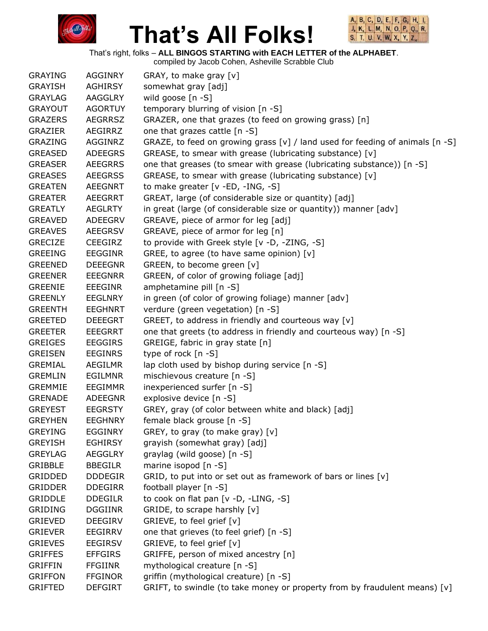



That's right, folks – **ALL BINGOS STARTING with EACH LETTER of the ALPHABET**.

| <b>GRAYING</b> | <b>AGGINRY</b> | GRAY, to make gray [v]                                                          |
|----------------|----------------|---------------------------------------------------------------------------------|
| <b>GRAYISH</b> | <b>AGHIRSY</b> | somewhat gray [adj]                                                             |
| <b>GRAYLAG</b> | <b>AAGGLRY</b> | wild goose [n -S]                                                               |
| <b>GRAYOUT</b> | <b>AGORTUY</b> | temporary blurring of vision [n -S]                                             |
| <b>GRAZERS</b> | <b>AEGRRSZ</b> | GRAZER, one that grazes (to feed on growing grass) [n]                          |
| <b>GRAZIER</b> | AEGIRRZ        | one that grazes cattle [n -S]                                                   |
| GRAZING        | AGGINRZ        | GRAZE, to feed on growing grass [v] / land used for feeding of animals $[n -S]$ |
| <b>GREASED</b> | <b>ADEEGRS</b> | GREASE, to smear with grease (lubricating substance) [v]                        |
| <b>GREASER</b> | <b>AEEGRRS</b> | one that greases (to smear with grease (lubricating substance)) [n -S]          |
| <b>GREASES</b> | <b>AEEGRSS</b> | GREASE, to smear with grease (lubricating substance) [v]                        |
| <b>GREATEN</b> | <b>AEEGNRT</b> | to make greater [v -ED, -ING, -S]                                               |
| <b>GREATER</b> | AEEGRRT        | GREAT, large (of considerable size or quantity) [adj]                           |
| <b>GREATLY</b> | <b>AEGLRTY</b> | in great (large (of considerable size or quantity)) manner [adv]                |
| <b>GREAVED</b> | ADEEGRV        | GREAVE, piece of armor for leg [adj]                                            |
| <b>GREAVES</b> | <b>AEEGRSV</b> | GREAVE, piece of armor for leg [n]                                              |
| <b>GRECIZE</b> | <b>CEEGIRZ</b> | to provide with Greek style [v -D, -ZING, -S]                                   |
| <b>GREEING</b> | <b>EEGGINR</b> | GREE, to agree (to have same opinion) [v]                                       |
| <b>GREENED</b> | <b>DEEEGNR</b> | GREEN, to become green [v]                                                      |
| <b>GREENER</b> | <b>EEEGNRR</b> | GREEN, of color of growing foliage [adj]                                        |
| <b>GREENIE</b> | <b>EEEGINR</b> | amphetamine pill [n -S]                                                         |
| <b>GREENLY</b> | <b>EEGLNRY</b> | in green (of color of growing foliage) manner [adv]                             |
| <b>GREENTH</b> | <b>EEGHNRT</b> | verdure (green vegetation) [n -S]                                               |
| <b>GREETED</b> | <b>DEEEGRT</b> | GREET, to address in friendly and courteous way [v]                             |
| <b>GREETER</b> | <b>EEEGRRT</b> | one that greets (to address in friendly and courteous way) [n -S]               |
| <b>GREIGES</b> | <b>EEGGIRS</b> | GREIGE, fabric in gray state [n]                                                |
| <b>GREISEN</b> | <b>EEGINRS</b> | type of rock [n -S]                                                             |
| <b>GREMIAL</b> | <b>AEGILMR</b> | lap cloth used by bishop during service [n -S]                                  |
| <b>GREMLIN</b> | <b>EGILMNR</b> | mischievous creature [n -S]                                                     |
| <b>GREMMIE</b> | <b>EEGIMMR</b> | inexperienced surfer [n -S]                                                     |
| <b>GRENADE</b> | <b>ADEEGNR</b> | explosive device [n -S]                                                         |
| <b>GREYEST</b> | <b>EEGRSTY</b> | GREY, gray (of color between white and black) [adj]                             |
| <b>GREYHEN</b> | <b>EEGHNRY</b> | female black grouse [n -S]                                                      |
| <b>GREYING</b> | <b>EGGINRY</b> | GREY, to gray (to make gray) [v]                                                |
| <b>GREYISH</b> | <b>EGHIRSY</b> | grayish (somewhat gray) [adj]                                                   |
| <b>GREYLAG</b> | <b>AEGGLRY</b> | graylag (wild goose) [n -S]                                                     |
| GRIBBLE        | <b>BBEGILR</b> | marine isopod [n -S]                                                            |
| <b>GRIDDED</b> | <b>DDDEGIR</b> | GRID, to put into or set out as framework of bars or lines [v]                  |
| <b>GRIDDER</b> | <b>DDEGIRR</b> | football player [n -S]                                                          |
| <b>GRIDDLE</b> | <b>DDEGILR</b> | to cook on flat pan [v -D, -LING, -S]                                           |
| <b>GRIDING</b> | <b>DGGIINR</b> | GRIDE, to scrape harshly [v]                                                    |
| <b>GRIEVED</b> | <b>DEEGIRV</b> | GRIEVE, to feel grief [v]                                                       |
| <b>GRIEVER</b> | <b>EEGIRRV</b> | one that grieves (to feel grief) [n -S]                                         |
| <b>GRIEVES</b> | <b>EEGIRSV</b> | GRIEVE, to feel grief [v]                                                       |
| <b>GRIFFES</b> | <b>EFFGIRS</b> | GRIFFE, person of mixed ancestry [n]                                            |
| <b>GRIFFIN</b> | <b>FFGIINR</b> | mythological creature [n -S]                                                    |
| <b>GRIFFON</b> | <b>FFGINOR</b> | griffin (mythological creature) [n -S]                                          |
| <b>GRIFTED</b> | <b>DEFGIRT</b> | GRIFT, to swindle (to take money or property from by fraudulent means) [v]      |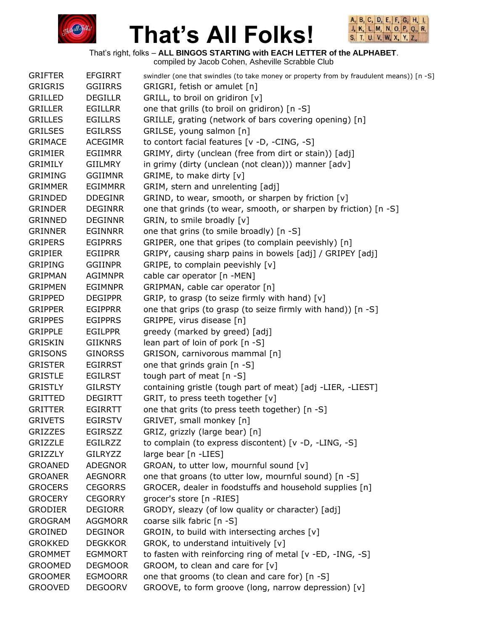



That's right, folks – **ALL BINGOS STARTING with EACH LETTER of the ALPHABET**.

| <b>GRIFTER</b> | <b>EFGIRRT</b> | swindler (one that swindles (to take money or property from by fraudulent means)) [n -S] |
|----------------|----------------|------------------------------------------------------------------------------------------|
| GRIGRIS        | <b>GGIIRRS</b> | GRIGRI, fetish or amulet [n]                                                             |
| <b>GRILLED</b> | <b>DEGILLR</b> | GRILL, to broil on gridiron [v]                                                          |
| <b>GRILLER</b> | <b>EGILLRR</b> | one that grills (to broil on gridiron) [n -S]                                            |
| <b>GRILLES</b> | <b>EGILLRS</b> | GRILLE, grating (network of bars covering opening) [n]                                   |
| <b>GRILSES</b> | <b>EGILRSS</b> | GRILSE, young salmon [n]                                                                 |
| <b>GRIMACE</b> | <b>ACEGIMR</b> | to contort facial features [v -D, -CING, -S]                                             |
| <b>GRIMIER</b> | <b>EGIIMRR</b> | GRIMY, dirty (unclean (free from dirt or stain)) [adj]                                   |
| <b>GRIMILY</b> | GIILMRY        | in grimy (dirty (unclean (not clean))) manner [adv]                                      |
| <b>GRIMING</b> | <b>GGIIMNR</b> | GRIME, to make dirty [v]                                                                 |
| <b>GRIMMER</b> | <b>EGIMMRR</b> | GRIM, stern and unrelenting [adj]                                                        |
| GRINDED        | <b>DDEGINR</b> | GRIND, to wear, smooth, or sharpen by friction [v]                                       |
| <b>GRINDER</b> | <b>DEGINRR</b> | one that grinds (to wear, smooth, or sharpen by friction) [n -S]                         |
| <b>GRINNED</b> | <b>DEGINNR</b> | GRIN, to smile broadly [v]                                                               |
| <b>GRINNER</b> | <b>EGINNRR</b> | one that grins (to smile broadly) [n -S]                                                 |
| <b>GRIPERS</b> | <b>EGIPRRS</b> | GRIPER, one that gripes (to complain peevishly) [n]                                      |
| <b>GRIPIER</b> | EGIIPRR        | GRIPY, causing sharp pains in bowels [adj] / GRIPEY [adj]                                |
| <b>GRIPING</b> | <b>GGIINPR</b> | GRIPE, to complain peevishly [v]                                                         |
| <b>GRIPMAN</b> | <b>AGIMNPR</b> | cable car operator [n -MEN]                                                              |
| <b>GRIPMEN</b> | <b>EGIMNPR</b> | GRIPMAN, cable car operator [n]                                                          |
| <b>GRIPPED</b> | <b>DEGIPPR</b> | GRIP, to grasp (to seize firmly with hand) [v]                                           |
| <b>GRIPPER</b> | <b>EGIPPRR</b> | one that grips (to grasp (to seize firmly with hand)) [n -S]                             |
| <b>GRIPPES</b> | <b>EGIPPRS</b> | GRIPPE, virus disease [n]                                                                |
| <b>GRIPPLE</b> | <b>EGILPPR</b> | greedy (marked by greed) [adj]                                                           |
| <b>GRISKIN</b> | <b>GIIKNRS</b> | lean part of loin of pork [n -S]                                                         |
| <b>GRISONS</b> | <b>GINORSS</b> | GRISON, carnivorous mammal [n]                                                           |
| <b>GRISTER</b> | <b>EGIRRST</b> | one that grinds grain [n -S]                                                             |
| <b>GRISTLE</b> | <b>EGILRST</b> | tough part of meat [n -S]                                                                |
| <b>GRISTLY</b> | <b>GILRSTY</b> | containing gristle (tough part of meat) [adj -LIER, -LIEST]                              |
| <b>GRITTED</b> | <b>DEGIRTT</b> | GRIT, to press teeth together [v]                                                        |
| <b>GRITTER</b> | <b>EGIRRTT</b> | one that grits (to press teeth together) [n -S]                                          |
| <b>GRIVETS</b> | <b>EGIRSTV</b> | GRIVET, small monkey [n]                                                                 |
| <b>GRIZZES</b> | <b>EGIRSZZ</b> | GRIZ, grizzly (large bear) [n]                                                           |
| GRIZZLE        | EGILRZZ        | to complain (to express discontent) [v -D, -LING, -S]                                    |
| <b>GRIZZLY</b> | <b>GILRYZZ</b> | large bear [n -LIES]                                                                     |
| <b>GROANED</b> | <b>ADEGNOR</b> | GROAN, to utter low, mournful sound [v]                                                  |
| <b>GROANER</b> | <b>AEGNORR</b> | one that groans (to utter low, mournful sound) [n -S]                                    |
| <b>GROCERS</b> | <b>CEGORRS</b> | GROCER, dealer in foodstuffs and household supplies [n]                                  |
| <b>GROCERY</b> | <b>CEGORRY</b> | grocer's store [n -RIES]                                                                 |
| <b>GRODIER</b> | <b>DEGIORR</b> | GRODY, sleazy (of low quality or character) [adj]                                        |
| <b>GROGRAM</b> | <b>AGGMORR</b> | coarse silk fabric [n -S]                                                                |
| <b>GROINED</b> | <b>DEGINOR</b> | GROIN, to build with intersecting arches [v]                                             |
| <b>GROKKED</b> | <b>DEGKKOR</b> | GROK, to understand intuitively [v]                                                      |
| <b>GROMMET</b> | <b>EGMMORT</b> | to fasten with reinforcing ring of metal [v -ED, -ING, -S]                               |
| <b>GROOMED</b> | <b>DEGMOOR</b> | GROOM, to clean and care for [v]                                                         |
| <b>GROOMER</b> | <b>EGMOORR</b> | one that grooms (to clean and care for) [n -S]                                           |
| <b>GROOVED</b> | <b>DEGOORV</b> | GROOVE, to form groove (long, narrow depression) [v]                                     |
|                |                |                                                                                          |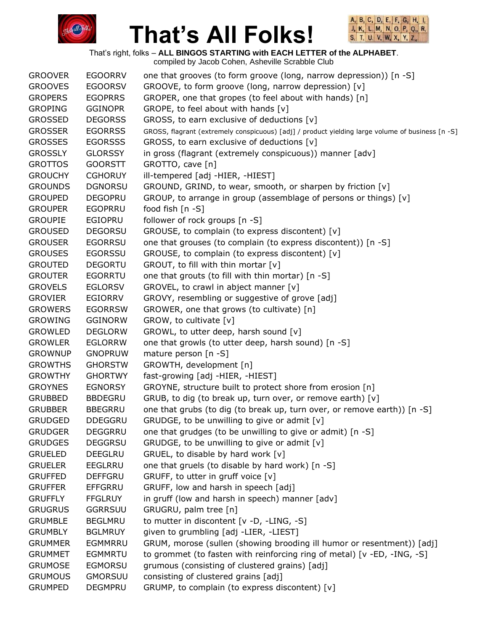



That's right, folks – **ALL BINGOS STARTING with EACH LETTER of the ALPHABET**.

| <b>GROOVER</b> | <b>EGOORRV</b> | one that grooves (to form groove (long, narrow depression)) [n -S]                               |
|----------------|----------------|--------------------------------------------------------------------------------------------------|
| <b>GROOVES</b> | <b>EGOORSV</b> | GROOVE, to form groove (long, narrow depression) [v]                                             |
| <b>GROPERS</b> | <b>EGOPRRS</b> | GROPER, one that gropes (to feel about with hands) [n]                                           |
| <b>GROPING</b> | <b>GGINOPR</b> | GROPE, to feel about with hands [v]                                                              |
| <b>GROSSED</b> | <b>DEGORSS</b> | GROSS, to earn exclusive of deductions [v]                                                       |
| <b>GROSSER</b> | <b>EGORRSS</b> | GROSS, flagrant (extremely conspicuous) [adj] / product yielding large volume of business [n -S] |
| <b>GROSSES</b> | <b>EGORSSS</b> | GROSS, to earn exclusive of deductions [v]                                                       |
| <b>GROSSLY</b> | <b>GLORSSY</b> | in gross (flagrant (extremely conspicuous)) manner [adv]                                         |
| <b>GROTTOS</b> | <b>GOORSTT</b> | GROTTO, cave [n]                                                                                 |
| <b>GROUCHY</b> | <b>CGHORUY</b> | ill-tempered [adj -HIER, -HIEST]                                                                 |
| <b>GROUNDS</b> | <b>DGNORSU</b> | GROUND, GRIND, to wear, smooth, or sharpen by friction [v]                                       |
| <b>GROUPED</b> | <b>DEGOPRU</b> | GROUP, to arrange in group (assemblage of persons or things) [v]                                 |
| <b>GROUPER</b> | <b>EGOPRRU</b> | food fish $[n -S]$                                                                               |
| <b>GROUPIE</b> | EGIOPRU        | follower of rock groups [n -S]                                                                   |
| <b>GROUSED</b> | <b>DEGORSU</b> | GROUSE, to complain (to express discontent) [v]                                                  |
| <b>GROUSER</b> | <b>EGORRSU</b> | one that grouses (to complain (to express discontent)) [n -S]                                    |
| <b>GROUSES</b> | <b>EGORSSU</b> | GROUSE, to complain (to express discontent) [v]                                                  |
| <b>GROUTED</b> | <b>DEGORTU</b> | GROUT, to fill with thin mortar [v]                                                              |
| <b>GROUTER</b> | <b>EGORRTU</b> | one that grouts (to fill with thin mortar) [n -S]                                                |
| <b>GROVELS</b> | <b>EGLORSV</b> | GROVEL, to crawl in abject manner [v]                                                            |
| <b>GROVIER</b> | <b>EGIORRV</b> | GROVY, resembling or suggestive of grove [adj]                                                   |
| <b>GROWERS</b> | <b>EGORRSW</b> | GROWER, one that grows (to cultivate) [n]                                                        |
| <b>GROWING</b> | <b>GGINORW</b> | GROW, to cultivate [v]                                                                           |
| <b>GROWLED</b> | <b>DEGLORW</b> | GROWL, to utter deep, harsh sound [v]                                                            |
| <b>GROWLER</b> | <b>EGLORRW</b> | one that growls (to utter deep, harsh sound) [n -S]                                              |
| <b>GROWNUP</b> | <b>GNOPRUW</b> | mature person [n -S]                                                                             |
| <b>GROWTHS</b> | <b>GHORSTW</b> | GROWTH, development [n]                                                                          |
| <b>GROWTHY</b> | <b>GHORTWY</b> | fast-growing [adj -HIER, -HIEST]                                                                 |
| <b>GROYNES</b> | <b>EGNORSY</b> | GROYNE, structure built to protect shore from erosion [n]                                        |
| <b>GRUBBED</b> | <b>BBDEGRU</b> | GRUB, to dig (to break up, turn over, or remove earth) [v]                                       |
| <b>GRUBBER</b> | <b>BBEGRRU</b> | one that grubs (to dig (to break up, turn over, or remove earth)) [n -S]                         |
| <b>GRUDGED</b> | <b>DDEGGRU</b> | GRUDGE, to be unwilling to give or admit [v]                                                     |
| <b>GRUDGER</b> | <b>DEGGRRU</b> | one that grudges (to be unwilling to give or admit) [n -S]                                       |
| <b>GRUDGES</b> | <b>DEGGRSU</b> | GRUDGE, to be unwilling to give or admit [v]                                                     |
| <b>GRUELED</b> | <b>DEEGLRU</b> | GRUEL, to disable by hard work [v]                                                               |
| <b>GRUELER</b> | <b>EEGLRRU</b> | one that gruels (to disable by hard work) [n -S]                                                 |
| <b>GRUFFED</b> | <b>DEFFGRU</b> | GRUFF, to utter in gruff voice [v]                                                               |
| <b>GRUFFER</b> | <b>EFFGRRU</b> | GRUFF, low and harsh in speech [adj]                                                             |
| <b>GRUFFLY</b> | <b>FFGLRUY</b> | in gruff (low and harsh in speech) manner [adv]                                                  |
| <b>GRUGRUS</b> | <b>GGRRSUU</b> | GRUGRU, palm tree [n]                                                                            |
| <b>GRUMBLE</b> | <b>BEGLMRU</b> | to mutter in discontent [v -D, -LING, -S]                                                        |
| <b>GRUMBLY</b> | <b>BGLMRUY</b> | given to grumbling [adj -LIER, -LIEST]                                                           |
| <b>GRUMMER</b> | EGMMRRU        | GRUM, morose (sullen (showing brooding ill humor or resentment)) [adj]                           |
| <b>GRUMMET</b> | <b>EGMMRTU</b> | to grommet (to fasten with reinforcing ring of metal) [v -ED, -ING, -S]                          |
| <b>GRUMOSE</b> | <b>EGMORSU</b> | grumous (consisting of clustered grains) [adj]                                                   |
| <b>GRUMOUS</b> | <b>GMORSUU</b> | consisting of clustered grains [adj]                                                             |
| <b>GRUMPED</b> | <b>DEGMPRU</b> | GRUMP, to complain (to express discontent) [v]                                                   |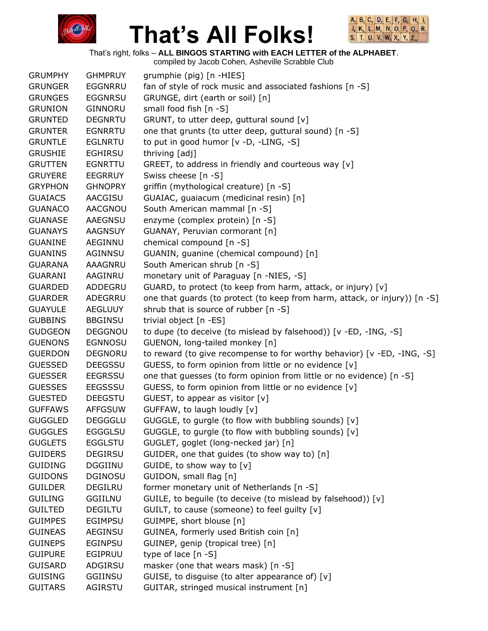



That's right, folks – **ALL BINGOS STARTING with EACH LETTER of the ALPHABET**. compiled by Jacob Cohen, Asheville Scrabble Club

|                |                | complied by Jacob Conent, Asheville Scrapple Club                          |
|----------------|----------------|----------------------------------------------------------------------------|
| <b>GRUMPHY</b> | <b>GHMPRUY</b> | grumphie (pig) [n -HIES]                                                   |
| <b>GRUNGER</b> | <b>EGGNRRU</b> | fan of style of rock music and associated fashions [n -S]                  |
| <b>GRUNGES</b> | <b>EGGNRSU</b> | GRUNGE, dirt (earth or soil) [n]                                           |
| <b>GRUNION</b> | <b>GINNORU</b> | small food fish [n -S]                                                     |
| <b>GRUNTED</b> | <b>DEGNRTU</b> | GRUNT, to utter deep, guttural sound [v]                                   |
| <b>GRUNTER</b> | <b>EGNRRTU</b> | one that grunts (to utter deep, guttural sound) [n -S]                     |
| <b>GRUNTLE</b> | <b>EGLNRTU</b> | to put in good humor [v -D, -LING, -S]                                     |
| <b>GRUSHIE</b> | <b>EGHIRSU</b> | thriving [adj]                                                             |
| <b>GRUTTEN</b> | <b>EGNRTTU</b> | GREET, to address in friendly and courteous way [v]                        |
| <b>GRUYERE</b> | <b>EEGRRUY</b> | Swiss cheese [n -S]                                                        |
| <b>GRYPHON</b> | <b>GHNOPRY</b> | griffin (mythological creature) [n -S]                                     |
| <b>GUAIACS</b> | AACGISU        | GUAIAC, guaiacum (medicinal resin) [n]                                     |
| <b>GUANACO</b> | AACGNOU        | South American mammal [n -S]                                               |
| <b>GUANASE</b> | <b>AAEGNSU</b> | enzyme (complex protein) [n -S]                                            |
| <b>GUANAYS</b> | <b>AAGNSUY</b> | GUANAY, Peruvian cormorant [n]                                             |
|                |                |                                                                            |
| <b>GUANINE</b> | AEGINNU        | chemical compound [n -S]                                                   |
| <b>GUANINS</b> | AGINNSU        | GUANIN, guanine (chemical compound) [n]                                    |
| <b>GUARANA</b> | <b>AAAGNRU</b> | South American shrub [n -S]                                                |
| <b>GUARANI</b> | AAGINRU        | monetary unit of Paraguay [n -NIES, -S]                                    |
| <b>GUARDED</b> | ADDEGRU        | GUARD, to protect (to keep from harm, attack, or injury) [v]               |
| <b>GUARDER</b> | ADEGRRU        | one that guards (to protect (to keep from harm, attack, or injury)) [n -S] |
| <b>GUAYULE</b> | <b>AEGLUUY</b> | shrub that is source of rubber [n -S]                                      |
| <b>GUBBINS</b> | <b>BBGINSU</b> | trivial object [n -ES]                                                     |
| <b>GUDGEON</b> | <b>DEGGNOU</b> | to dupe (to deceive (to mislead by falsehood)) [v -ED, -ING, -S]           |
| <b>GUENONS</b> | <b>EGNNOSU</b> | GUENON, long-tailed monkey [n]                                             |
| <b>GUERDON</b> | <b>DEGNORU</b> | to reward (to give recompense to for worthy behavior) [v -ED, -ING, -S]    |
| <b>GUESSED</b> | <b>DEEGSSU</b> | GUESS, to form opinion from little or no evidence [v]                      |
| <b>GUESSER</b> | <b>EEGRSSU</b> | one that guesses (to form opinion from little or no evidence) [n -S]       |
| <b>GUESSES</b> | <b>EEGSSSU</b> | GUESS, to form opinion from little or no evidence [v]                      |
| <b>GUESTED</b> | <b>DEEGSTU</b> | GUEST, to appear as visitor [v]                                            |
| <b>GUFFAWS</b> | <b>AFFGSUW</b> | GUFFAW, to laugh loudly [v]                                                |
| <b>GUGGLED</b> | <b>DEGGGLU</b> | GUGGLE, to gurgle (to flow with bubbling sounds) [v]                       |
| <b>GUGGLES</b> | <b>EGGGLSU</b> | GUGGLE, to gurgle (to flow with bubbling sounds) [v]                       |
| <b>GUGLETS</b> | <b>EGGLSTU</b> | GUGLET, goglet (long-necked jar) [n]                                       |
| <b>GUIDERS</b> | <b>DEGIRSU</b> | GUIDER, one that guides (to show way to) [n]                               |
| <b>GUIDING</b> | <b>DGGIINU</b> | GUIDE, to show way to [v]                                                  |
| <b>GUIDONS</b> | <b>DGINOSU</b> | GUIDON, small flag [n]                                                     |
| <b>GUILDER</b> | DEGILRU        | former monetary unit of Netherlands [n -S]                                 |
| <b>GUILING</b> | <b>GGIILNU</b> | GUILE, to beguile (to deceive (to mislead by falsehood)) [v]               |
| <b>GUILTED</b> | <b>DEGILTU</b> | GUILT, to cause (someone) to feel guilty [v]                               |
| <b>GUIMPES</b> | EGIMPSU        | GUIMPE, short blouse [n]                                                   |
| <b>GUINEAS</b> | <b>AEGINSU</b> | GUINEA, formerly used British coin [n]                                     |
| <b>GUINEPS</b> | EGINPSU        | GUINEP, genip (tropical tree) [n]                                          |
| <b>GUIPURE</b> | <b>EGIPRUU</b> | type of lace $[n - S]$                                                     |
| <b>GUISARD</b> | ADGIRSU        | masker (one that wears mask) [n -S]                                        |
| <b>GUISING</b> | <b>GGIINSU</b> | GUISE, to disguise (to alter appearance of) [v]                            |
| <b>GUITARS</b> | AGIRSTU        | GUITAR, stringed musical instrument [n]                                    |
|                |                |                                                                            |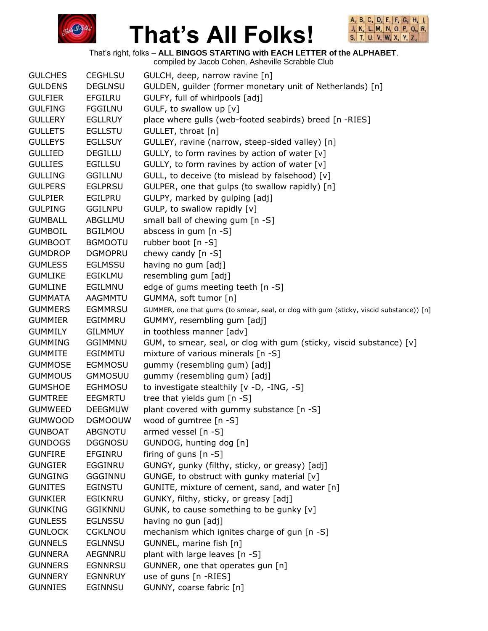



That's right, folks – **ALL BINGOS STARTING with EACH LETTER of the ALPHABET**.

|                |                | compiled by Jacob Cohen, Asheville Scrabble Club                                        |
|----------------|----------------|-----------------------------------------------------------------------------------------|
| <b>GULCHES</b> | <b>CEGHLSU</b> | GULCH, deep, narrow ravine [n]                                                          |
| <b>GULDENS</b> | <b>DEGLNSU</b> | GULDEN, guilder (former monetary unit of Netherlands) [n]                               |
| <b>GULFIER</b> | <b>EFGILRU</b> | GULFY, full of whirlpools [adj]                                                         |
| <b>GULFING</b> | <b>FGGILNU</b> | GULF, to swallow up $[v]$                                                               |
| <b>GULLERY</b> | <b>EGLLRUY</b> | place where gulls (web-footed seabirds) breed [n -RIES]                                 |
| <b>GULLETS</b> | <b>EGLLSTU</b> | GULLET, throat [n]                                                                      |
| <b>GULLEYS</b> | <b>EGLLSUY</b> | GULLEY, ravine (narrow, steep-sided valley) [n]                                         |
| <b>GULLIED</b> | <b>DEGILLU</b> | GULLY, to form ravines by action of water [v]                                           |
| <b>GULLIES</b> | <b>EGILLSU</b> | GULLY, to form ravines by action of water [v]                                           |
| <b>GULLING</b> | <b>GGILLNU</b> | GULL, to deceive (to mislead by falsehood) [v]                                          |
| <b>GULPERS</b> | <b>EGLPRSU</b> | GULPER, one that gulps (to swallow rapidly) [n]                                         |
| <b>GULPIER</b> | EGILPRU        | GULPY, marked by gulping [adj]                                                          |
| <b>GULPING</b> | GGILNPU        | GULP, to swallow rapidly [v]                                                            |
|                |                |                                                                                         |
| <b>GUMBALL</b> | ABGLLMU        | small ball of chewing gum [n -S]                                                        |
| <b>GUMBOIL</b> | <b>BGILMOU</b> | abscess in gum [n -S]                                                                   |
| <b>GUMBOOT</b> | <b>BGMOOTU</b> | rubber boot [n -S]                                                                      |
| <b>GUMDROP</b> | <b>DGMOPRU</b> | chewy candy $[n - S]$                                                                   |
| <b>GUMLESS</b> | <b>EGLMSSU</b> | having no gum [adj]                                                                     |
| <b>GUMLIKE</b> | EGIKLMU        | resembling gum [adj]                                                                    |
| <b>GUMLINE</b> | EGILMNU        | edge of gums meeting teeth [n -S]                                                       |
| <b>GUMMATA</b> | <b>AAGMMTU</b> | GUMMA, soft tumor [n]                                                                   |
| <b>GUMMERS</b> | <b>EGMMRSU</b> | GUMMER, one that gums (to smear, seal, or clog with gum (sticky, viscid substance)) [n] |
| <b>GUMMIER</b> | EGIMMRU        | GUMMY, resembling gum [adj]                                                             |
| <b>GUMMILY</b> | <b>GILMMUY</b> | in toothless manner [adv]                                                               |
| <b>GUMMING</b> | <b>GGIMMNU</b> | GUM, to smear, seal, or clog with gum (sticky, viscid substance) [v]                    |
| <b>GUMMITE</b> | EGIMMTU        | mixture of various minerals [n -S]                                                      |
| <b>GUMMOSE</b> | <b>EGMMOSU</b> | gummy (resembling gum) [adj]                                                            |
| <b>GUMMOUS</b> | <b>GMMOSUU</b> | gummy (resembling gum) [adj]                                                            |
| <b>GUMSHOE</b> | <b>EGHMOSU</b> | to investigate stealthily [v -D, -ING, -S]                                              |
| <b>GUMTREE</b> | EEGMRTU        | tree that yields gum [n -S]                                                             |
| <b>GUMWEED</b> | <b>DEEGMUW</b> | plant covered with gummy substance [n -S]                                               |
| <b>GUMWOOD</b> | <b>DGMOOUW</b> | wood of gumtree [n -S]                                                                  |
| <b>GUNBOAT</b> | <b>ABGNOTU</b> | armed vessel [n -S]                                                                     |
| <b>GUNDOGS</b> | <b>DGGNOSU</b> | GUNDOG, hunting dog [n]                                                                 |
| <b>GUNFIRE</b> | <b>EFGINRU</b> | firing of guns $[n - S]$                                                                |
| <b>GUNGIER</b> | <b>EGGINRU</b> | GUNGY, gunky (filthy, sticky, or greasy) [adj]                                          |
| <b>GUNGING</b> | <b>GGGINNU</b> | GUNGE, to obstruct with gunky material [v]                                              |
| <b>GUNITES</b> | EGINSTU        | GUNITE, mixture of cement, sand, and water [n]                                          |
| <b>GUNKIER</b> | EGIKNRU        | GUNKY, filthy, sticky, or greasy [adj]                                                  |
| <b>GUNKING</b> | <b>GGIKNNU</b> | GUNK, to cause something to be gunky [v]                                                |
| <b>GUNLESS</b> | <b>EGLNSSU</b> | having no gun [adj]                                                                     |
| <b>GUNLOCK</b> | <b>CGKLNOU</b> | mechanism which ignites charge of gun [n -S]                                            |
| <b>GUNNELS</b> | <b>EGLNNSU</b> | GUNNEL, marine fish [n]                                                                 |
| <b>GUNNERA</b> | AEGNNRU        | plant with large leaves [n -S]                                                          |
| <b>GUNNERS</b> | <b>EGNNRSU</b> | GUNNER, one that operates gun [n]                                                       |
| <b>GUNNERY</b> | <b>EGNNRUY</b> | use of guns [n -RIES]                                                                   |
| <b>GUNNIES</b> | EGINNSU        | GUNNY, coarse fabric [n]                                                                |
|                |                |                                                                                         |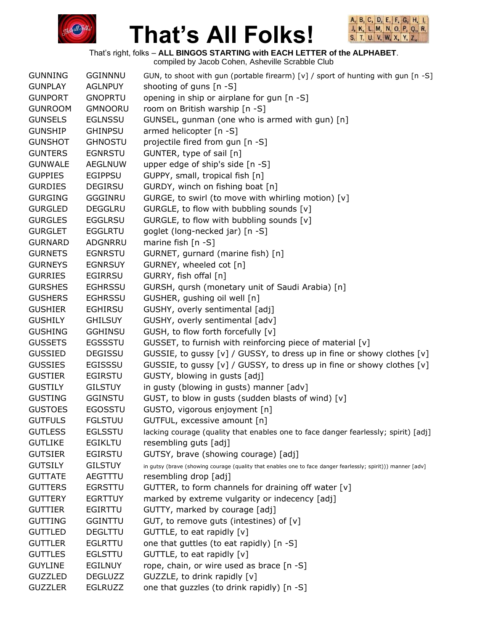



That's right, folks – **ALL BINGOS STARTING with EACH LETTER of the ALPHABET**.

| <b>GUNNING</b> | <b>GGINNNU</b> | GUN, to shoot with gun (portable firearm) $[v]$ / sport of hunting with gun $[n -S]$                         |
|----------------|----------------|--------------------------------------------------------------------------------------------------------------|
| <b>GUNPLAY</b> | <b>AGLNPUY</b> | shooting of guns [n -S]                                                                                      |
| <b>GUNPORT</b> | <b>GNOPRTU</b> | opening in ship or airplane for gun [n -S]                                                                   |
| <b>GUNROOM</b> | <b>GMNOORU</b> | room on British warship [n -S]                                                                               |
| <b>GUNSELS</b> | <b>EGLNSSU</b> | GUNSEL, gunman (one who is armed with gun) [n]                                                               |
| <b>GUNSHIP</b> | <b>GHINPSU</b> | armed helicopter [n -S]                                                                                      |
| <b>GUNSHOT</b> | <b>GHNOSTU</b> | projectile fired from gun [n -S]                                                                             |
| <b>GUNTERS</b> | <b>EGNRSTU</b> | GUNTER, type of sail [n]                                                                                     |
| <b>GUNWALE</b> | <b>AEGLNUW</b> | upper edge of ship's side [n -S]                                                                             |
| <b>GUPPIES</b> | <b>EGIPPSU</b> | GUPPY, small, tropical fish [n]                                                                              |
| <b>GURDIES</b> | <b>DEGIRSU</b> | GURDY, winch on fishing boat [n]                                                                             |
| <b>GURGING</b> | GGGINRU        | GURGE, to swirl (to move with whirling motion) [v]                                                           |
| <b>GURGLED</b> | <b>DEGGLRU</b> | GURGLE, to flow with bubbling sounds [v]                                                                     |
| <b>GURGLES</b> | <b>EGGLRSU</b> | GURGLE, to flow with bubbling sounds [v]                                                                     |
| <b>GURGLET</b> | <b>EGGLRTU</b> | goglet (long-necked jar) [n -S]                                                                              |
| <b>GURNARD</b> | ADGNRRU        | marine fish $[n - S]$                                                                                        |
| <b>GURNETS</b> | <b>EGNRSTU</b> | GURNET, gurnard (marine fish) [n]                                                                            |
| <b>GURNEYS</b> | <b>EGNRSUY</b> | GURNEY, wheeled cot [n]                                                                                      |
| <b>GURRIES</b> | <b>EGIRRSU</b> | GURRY, fish offal [n]                                                                                        |
| <b>GURSHES</b> | <b>EGHRSSU</b> | GURSH, qursh (monetary unit of Saudi Arabia) [n]                                                             |
| <b>GUSHERS</b> | <b>EGHRSSU</b> | GUSHER, gushing oil well [n]                                                                                 |
| <b>GUSHIER</b> | <b>EGHIRSU</b> | GUSHY, overly sentimental [adj]                                                                              |
| <b>GUSHILY</b> | <b>GHILSUY</b> | GUSHY, overly sentimental [adv]                                                                              |
| <b>GUSHING</b> | <b>GGHINSU</b> | GUSH, to flow forth forcefully [v]                                                                           |
| <b>GUSSETS</b> | <b>EGSSSTU</b> | GUSSET, to furnish with reinforcing piece of material [v]                                                    |
| <b>GUSSIED</b> | <b>DEGISSU</b> | GUSSIE, to gussy [v] / GUSSY, to dress up in fine or showy clothes [v]                                       |
| <b>GUSSIES</b> | <b>EGISSSU</b> | GUSSIE, to gussy [v] / GUSSY, to dress up in fine or showy clothes [v]                                       |
| <b>GUSTIER</b> | <b>EGIRSTU</b> | GUSTY, blowing in gusts [adj]                                                                                |
| <b>GUSTILY</b> | <b>GILSTUY</b> | in gusty (blowing in gusts) manner [adv]                                                                     |
| <b>GUSTING</b> | <b>GGINSTU</b> | GUST, to blow in gusts (sudden blasts of wind) [v]                                                           |
| <b>GUSTOES</b> | <b>EGOSSTU</b> | GUSTO, vigorous enjoyment [n]                                                                                |
| <b>GUTFULS</b> | <b>FGLSTUU</b> | GUTFUL, excessive amount [n]                                                                                 |
| <b>GUTLESS</b> | <b>EGLSSTU</b> | lacking courage (quality that enables one to face danger fearlessly; spirit) [adj]                           |
| <b>GUTLIKE</b> | <b>EGIKLTU</b> | resembling guts [adj]                                                                                        |
| <b>GUTSIER</b> | <b>EGIRSTU</b> | GUTSY, brave (showing courage) [adj]                                                                         |
| <b>GUTSILY</b> | <b>GILSTUY</b> | in gutsy (brave (showing courage (quality that enables one to face danger fearlessly; spirit))) manner [adv] |
| <b>GUTTATE</b> | AEGTTTU        | resembling drop [adj]                                                                                        |
| <b>GUTTERS</b> | <b>EGRSTTU</b> | GUTTER, to form channels for draining off water [v]                                                          |
| <b>GUTTERY</b> | <b>EGRTTUY</b> | marked by extreme vulgarity or indecency [adj]                                                               |
| <b>GUTTIER</b> | <b>EGIRTTU</b> | GUTTY, marked by courage [adj]                                                                               |
| <b>GUTTING</b> | <b>GGINTTU</b> | GUT, to remove guts (intestines) of $[v]$                                                                    |
| <b>GUTTLED</b> | <b>DEGLTTU</b> | GUTTLE, to eat rapidly [v]                                                                                   |
| <b>GUTTLER</b> | <b>EGLRTTU</b> | one that guttles (to eat rapidly) [n -S]                                                                     |
| <b>GUTTLES</b> | <b>EGLSTTU</b> | GUTTLE, to eat rapidly [v]                                                                                   |
| <b>GUYLINE</b> | <b>EGILNUY</b> | rope, chain, or wire used as brace [n -S]                                                                    |
| <b>GUZZLED</b> | <b>DEGLUZZ</b> | GUZZLE, to drink rapidly [v]                                                                                 |
| <b>GUZZLER</b> | EGLRUZZ        | one that guzzles (to drink rapidly) [n -S]                                                                   |